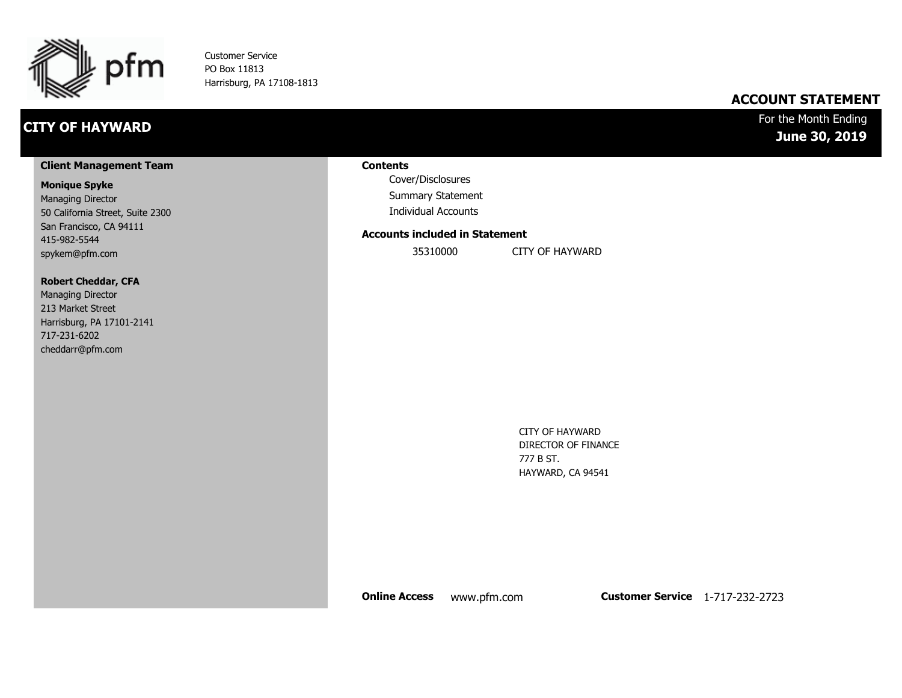

Customer Service PO Box 11813 Harrisburg, PA 17108-1813

## **CITY OF HAYWARD**

### **ACCOUNT STATEMENT**

### For the Month Ending **June 30, 2019**

#### **Client Management Team**

#### **Monique Spyke**

Managing Director 50 California Street, Suite 2300 San Francisco, CA 94111 415-982-5544 spykem@pfm.com

#### **Robert Cheddar, CFA**

| <b>Managing Director</b>  |
|---------------------------|
| 213 Market Street         |
| Harrisburg, PA 17101-2141 |
| 717-231-6202              |
| cheddarr@pfm.com          |

#### **Contents**

Cover/Disclosures Summary Statement Individual Accounts

#### **Accounts included in Statement**

35310000 CITY OF HAYWARD

CITY OF HAYWARD DIRECTOR OF FINANCE 777 B ST. HAYWARD, CA 94541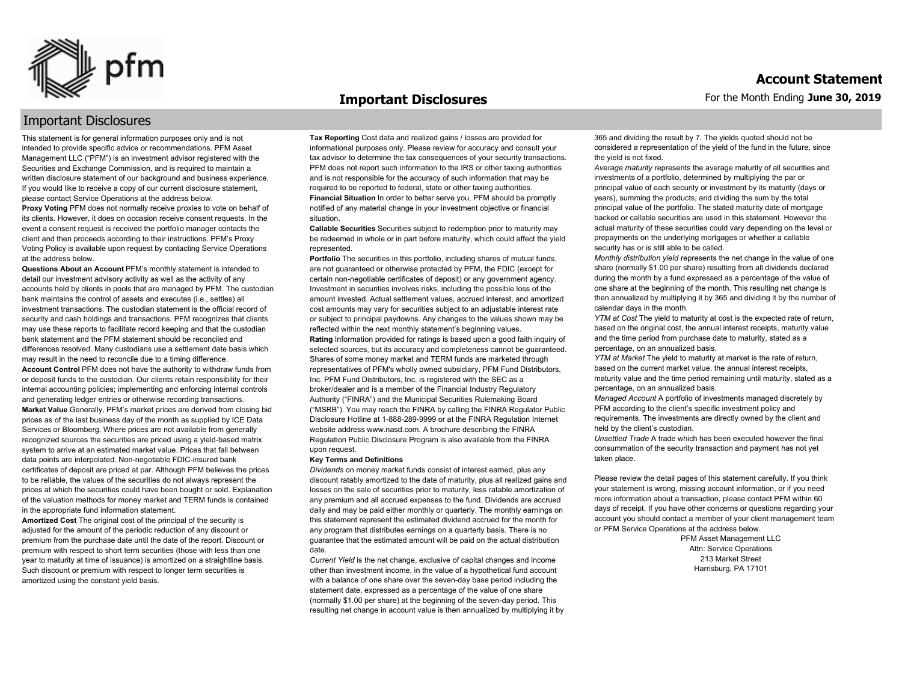

#### **Important Disclosures**

### Important Disclosures

This statement is for general information purposes only and is not intended to provide specific advice or recommendations. PFM Asset Management LLC ("PFM") is an investment advisor registered with the Securities and Exchange Commission, and is required to maintain a written disclosure statement of our background and business experience. If you would like to receive a copy of our current disclosure statement, please contact Service Operations at the address below.

**Proxy Voting** PFM does not normally receive proxies to vote on behalf of its clients. However, it does on occasion receive consent requests. In the event a consent request is received the portfolio manager contacts the client and then proceeds according to their instructions. PFM's Proxy Voting Policy is available upon request by contacting Service Operations at the address below.

**Questions About an Account** PFM's monthly statement is intended to detail our investment advisory activity as well as the activity of any accounts held by clients in pools that are managed by PFM. The custodian bank maintains the control of assets and executes (i.e., settles) all investment transactions. The custodian statement is the official record of security and cash holdings and transactions. PFM recognizes that clients may use these reports to facilitate record keeping and that the custodian bank statement and the PFM statement should be reconciled and differences resolved. Many custodians use a settlement date basis which may result in the need to reconcile due to a timing difference. **Account Control** PFM does not have the authority to withdraw funds from or deposit funds to the custodian. Our clients retain responsibility for their internal accounting policies; implementing and enforcing internal controls and generating ledger entries or otherwise recording transactions. **Market Value** Generally, PFM's market prices are derived from closing bid prices as of the last business day of the month as supplied by ICE Data Services or Bloomberg. Where prices are not available from generally recognized sources the securities are priced using a yield-based matrix system to arrive at an estimated market value. Prices that fall between data points are interpolated. Non-negotiable FDIC-insured bank certificates of deposit are priced at par. Although PFM believes the prices to be reliable, the values of the securities do not always represent the prices at which the securities could have been bought or sold. Explanation of the valuation methods for money market and TERM funds is contained in the appropriate fund information statement.

**Amortized Cost** The original cost of the principal of the security is adjusted for the amount of the periodic reduction of any discount or premium from the purchase date until the date of the report. Discount or premium with respect to short term securities (those with less than one year to maturity at time of issuance) is amortized on a straightline basis. Such discount or premium with respect to longer term securities is amortized using the constant yield basis.

**Tax Reporting** Cost data and realized gains / losses are provided for informational purposes only. Please review for accuracy and consult your tax advisor to determine the tax consequences of your security transactions. PFM does not report such information to the IRS or other taxing authorities and is not responsible for the accuracy of such information that may be required to be reported to federal, state or other taxing authorities. **Financial Situation** In order to better serve you, PFM should be promptly notified of any material change in your investment objective or financial situation.

**Callable Securities** Securities subject to redemption prior to maturity may be redeemed in whole or in part before maturity, which could affect the yield represented.

Portfolio The securities in this portfolio, including shares of mutual funds, are not guaranteed or otherwise protected by PFM, the FDIC (except for certain non-negotiable certificates of deposit) or any government agency. Investment in securities involves risks, including the possible loss of the amount invested. Actual settlement values, accrued interest, and amortized cost amounts may vary for securities subject to an adjustable interest rate or subject to principal paydowns. Any changes to the values shown may be reflected within the next monthly statement's beginning values. **Rating** Information provided for ratings is based upon a good faith inquiry of selected sources, but its accuracy and completeness cannot be guaranteed. Shares of some money market and TERM funds are marketed through representatives of PFM's wholly owned subsidiary, PFM Fund Distributors, Inc. PFM Fund Distributors, Inc. is registered with the SEC as a broker/dealer and is a member of the Financial Industry Regulatory Authority ("FINRA") and the Municipal Securities Rulemaking Board ("MSRB"). You may reach the FINRA by calling the FINRA Regulator Public Disclosure Hotline at 1-888-289-9999 or at the FINRA Regulation Internet website address www.nasd.com. A brochure describing the FINRA Regulation Public Disclosure Program is also available from the FINRA upon request.

#### **Key Terms and Definitions**

*Dividends* on money market funds consist of interest earned, plus any discount ratably amortized to the date of maturity, plus all realized gains and losses on the sale of securities prior to maturity, less ratable amortization of any premium and all accrued expenses to the fund. Dividends are accrued daily and may be paid either monthly or quarterly. The monthly earnings on this statement represent the estimated dividend accrued for the month for any program that distributes earnings on a quarterly basis. There is no guarantee that the estimated amount will be paid on the actual distribution date.

*Current Yield* is the net change, exclusive of capital changes and income other than investment income, in the value of a hypothetical fund account with a balance of one share over the seven-day base period including the statement date, expressed as a percentage of the value of one share (normally \$1.00 per share) at the beginning of the seven-day period. This resulting net change in account value is then annualized by multiplying it by 365 and dividing the result by 7. The yields quoted should not be considered a representation of the yield of the fund in the future, since the yield is not fixed.

*Average maturity* represents the average maturity of all securities and investments of a portfolio, determined by multiplying the par or principal value of each security or investment by its maturity (days or years), summing the products, and dividing the sum by the total principal value of the portfolio. The stated maturity date of mortgage backed or callable securities are used in this statement. However the actual maturity of these securities could vary depending on the level or prepayments on the underlying mortgages or whether a callable security has or is still able to be called.

*Monthly distribution yield* represents the net change in the value of one share (normally \$1.00 per share) resulting from all dividends declared during the month by a fund expressed as a percentage of the value of one share at the beginning of the month. This resulting net change is then annualized by multiplying it by 365 and dividing it by the number of calendar days in the month.

*YTM at Cost* The yield to maturity at cost is the expected rate of return, based on the original cost, the annual interest receipts, maturity value and the time period from purchase date to maturity, stated as a percentage, on an annualized basis.

*YTM at Market* The yield to maturity at market is the rate of return, based on the current market value, the annual interest receipts, maturity value and the time period remaining until maturity, stated as a percentage, on an annualized basis.

*Managed Account* A portfolio of investments managed discretely by PFM according to the client's specific investment policy and requirements. The investments are directly owned by the client and held by the client's custodian.

*Unsettled Trade* A trade which has been executed however the final consummation of the security transaction and payment has not yet taken place.

Please review the detail pages of this statement carefully. If you think your statement is wrong, missing account information, or if you need more information about a transaction, please contact PFM within 60 days of receipt. If you have other concerns or questions regarding your account you should contact a member of your client management team or PFM Service Operations at the address below.

> PFM Asset Management LLC Attn: Service Operations 213 Market Street Harrisburg, PA 17101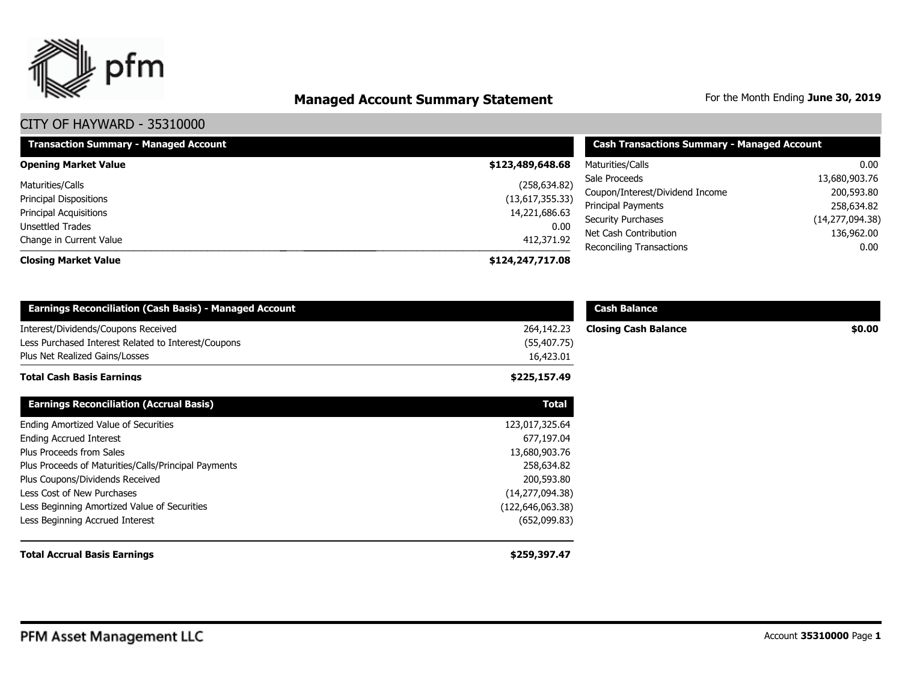

# **Managed Account Summary Statement** For the Month Ending June 30, 2019

| <b>Transaction Summary - Managed Account</b> | <b>Cash Transactions Summary - Managed Account</b> |                                                   |                    |
|----------------------------------------------|----------------------------------------------------|---------------------------------------------------|--------------------|
| <b>Opening Market Value</b>                  | \$123,489,648.68                                   | Maturities/Calls                                  | 0.00               |
| Maturities/Calls                             | (258, 634.82)                                      | Sale Proceeds                                     | 13,680,903.76      |
| <b>Principal Dispositions</b>                | (13,617,355.33)                                    | Coupon/Interest/Dividend Income                   | 200,593.80         |
| <b>Principal Acquisitions</b>                | 14,221,686.63                                      | Principal Payments                                | 258,634.82         |
| <b>Unsettled Trades</b>                      | 0.00                                               | <b>Security Purchases</b>                         | (14, 277, 094.38)  |
| Change in Current Value                      | 412,371.92                                         | Net Cash Contribution<br>Reconciling Transactions | 136,962.00<br>0.00 |
| <b>Closing Market Value</b>                  | \$124,247,717.08                                   |                                                   |                    |

| <b>Earnings Reconciliation (Cash Basis) - Managed Account</b>                              |                            | <b>Cash Balance</b>         |        |
|--------------------------------------------------------------------------------------------|----------------------------|-----------------------------|--------|
| Interest/Dividends/Coupons Received<br>Less Purchased Interest Related to Interest/Coupons | 264,142.23<br>(55, 407.75) | <b>Closing Cash Balance</b> | \$0.00 |
| Plus Net Realized Gains/Losses<br><b>Total Cash Basis Earnings</b>                         | 16,423.01<br>\$225,157.49  |                             |        |
| <b>Earnings Reconciliation (Accrual Basis)</b>                                             | <b>Total</b>               |                             |        |
| Ending Amortized Value of Securities                                                       | 123,017,325.64             |                             |        |
| <b>Ending Accrued Interest</b>                                                             | 677,197.04                 |                             |        |
| Plus Proceeds from Sales                                                                   | 13,680,903.76              |                             |        |
| Plus Proceeds of Maturities/Calls/Principal Payments                                       | 258,634.82                 |                             |        |
| Plus Coupons/Dividends Received                                                            | 200,593.80                 |                             |        |
| Less Cost of New Purchases                                                                 | (14, 277, 094.38)          |                             |        |
| Less Beginning Amortized Value of Securities                                               | (122, 646, 063.38)         |                             |        |
| Less Beginning Accrued Interest                                                            | (652,099.83)               |                             |        |
| <b>Total Accrual Basis Earnings</b>                                                        | \$259,397.47               |                             |        |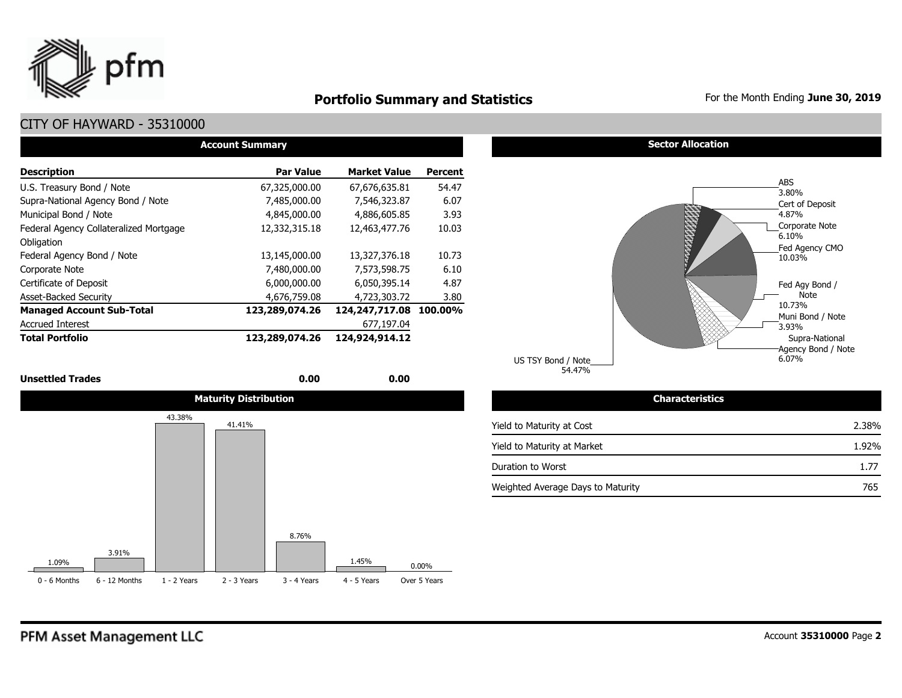

## **Portfolio Summary and Statistics** For the Month Ending June 30, 2019

## CITY OF HAYWARD - 35310000

| <b>Account Summary</b>                 |                  |                     |                |  |  |  |  |  |  |  |  |  |
|----------------------------------------|------------------|---------------------|----------------|--|--|--|--|--|--|--|--|--|
| <b>Description</b>                     | <b>Par Value</b> | <b>Market Value</b> | <b>Percent</b> |  |  |  |  |  |  |  |  |  |
| U.S. Treasury Bond / Note              | 67,325,000.00    | 67,676,635.81       | 54.47          |  |  |  |  |  |  |  |  |  |
| Supra-National Agency Bond / Note      | 7,485,000.00     | 7.546.323.87        | 6.07           |  |  |  |  |  |  |  |  |  |
| Municipal Bond / Note                  | 4,845,000,00     | 4,886,605.85        | 3.93           |  |  |  |  |  |  |  |  |  |
| Federal Agency Collateralized Mortgage | 12,332,315.18    | 12,463,477.76       | 10.03          |  |  |  |  |  |  |  |  |  |
| Obligation                             |                  |                     |                |  |  |  |  |  |  |  |  |  |
| Federal Agency Bond / Note             | 13,145,000.00    | 13,327,376.18       | 10.73          |  |  |  |  |  |  |  |  |  |
| Corporate Note                         | 7,480,000.00     | 7,573,598.75        | 6.10           |  |  |  |  |  |  |  |  |  |
| Certificate of Deposit                 | 6,000,000.00     | 6,050,395.14        | 4.87           |  |  |  |  |  |  |  |  |  |
| <b>Asset-Backed Security</b>           | 4,676,759.08     | 4,723,303.72        | 3.80           |  |  |  |  |  |  |  |  |  |
| <b>Managed Account Sub-Total</b>       | 123,289,074.26   | 124,247,717.08      | 100.00%        |  |  |  |  |  |  |  |  |  |
| <b>Accrued Interest</b>                |                  | 677,197.04          |                |  |  |  |  |  |  |  |  |  |
| <b>Total Portfolio</b>                 | 123,289,074.26   | 124,924,914.12      |                |  |  |  |  |  |  |  |  |  |

#### **Unsettled Trades 0.00 0.00**



#### **Sector Allocation**



54.47% US TSY Bond / Note

#### Yield to Maturity at Cost Yield to Maturity at Market Duration to Worst Weighted Average Days to Maturity 1.77 765 2.38% 1.92%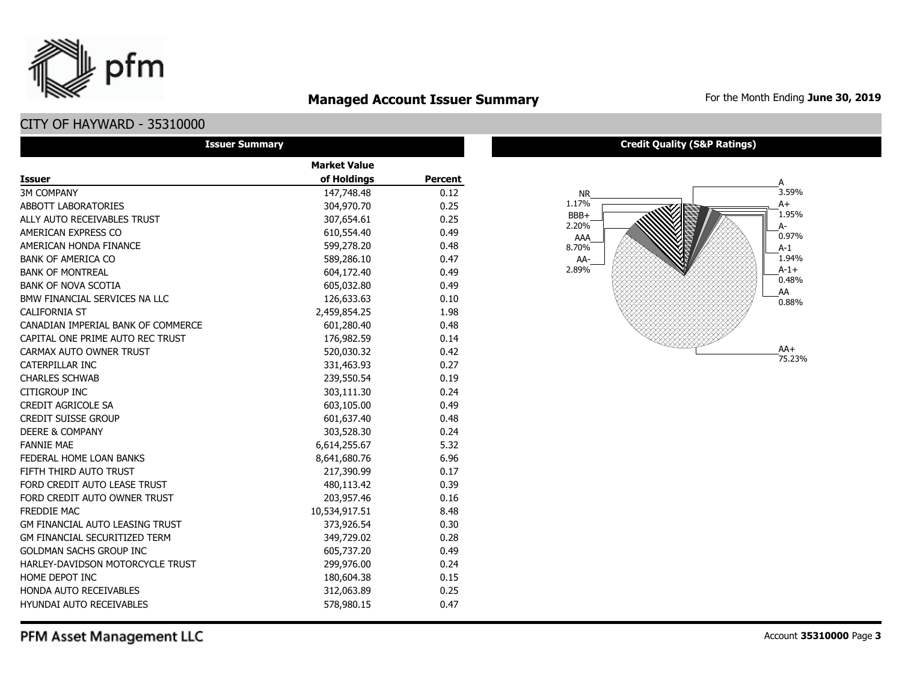## **Managed Account Issuer Summary** For the Month Ending June 30, 2019

## CITY OF HAYWARD - 35310000

pfm

| <b>Issuer Summary</b>                  |                     |                |
|----------------------------------------|---------------------|----------------|
|                                        | <b>Market Value</b> |                |
| <b>Issuer</b>                          | of Holdings         | <b>Percent</b> |
| <b>3M COMPANY</b>                      | 147,748.48          | 0.12           |
| ABBOTT LABORATORIES                    | 304,970.70          | 0.25           |
| ALLY AUTO RECEIVABLES TRUST            | 307,654.61          | 0.25           |
| AMERICAN EXPRESS CO                    | 610,554.40          | 0.49           |
| AMERICAN HONDA FINANCE                 | 599,278.20          | 0.48           |
| <b>BANK OF AMERICA CO</b>              | 589,286.10          | 0.47           |
| <b>BANK OF MONTREAL</b>                | 604,172.40          | 0.49           |
| <b>BANK OF NOVA SCOTIA</b>             | 605,032.80          | 0.49           |
| BMW FINANCIAL SERVICES NA LLC          | 126,633.63          | 0.10           |
| <b>CALIFORNIA ST</b>                   | 2,459,854.25        | 1.98           |
| CANADIAN IMPERIAL BANK OF COMMERCE     | 601,280.40          | 0.48           |
| CAPITAL ONE PRIME AUTO REC TRUST       | 176,982.59          | 0.14           |
| CARMAX AUTO OWNER TRUST                | 520,030.32          | 0.42           |
| CATERPILLAR INC                        | 331,463.93          | 0.27           |
| <b>CHARLES SCHWAB</b>                  | 239,550.54          | 0.19           |
| CITIGROUP INC                          | 303,111.30          | 0.24           |
| CREDIT AGRICOLE SA                     | 603,105.00          | 0.49           |
| <b>CREDIT SUISSE GROUP</b>             | 601,637.40          | 0.48           |
| <b>DEERE &amp; COMPANY</b>             | 303,528.30          | 0.24           |
| <b>FANNIE MAE</b>                      | 6,614,255.67        | 5.32           |
| FEDERAL HOME LOAN BANKS                | 8,641,680.76        | 6.96           |
| FIFTH THIRD AUTO TRUST                 | 217,390.99          | 0.17           |
| FORD CREDIT AUTO LEASE TRUST           | 480,113.42          | 0.39           |
| FORD CREDIT AUTO OWNER TRUST           | 203,957.46          | 0.16           |
| <b>FREDDIE MAC</b>                     | 10,534,917.51       | 8.48           |
| <b>GM FINANCIAL AUTO LEASING TRUST</b> | 373,926.54          | 0.30           |
| <b>GM FINANCIAL SECURITIZED TERM</b>   | 349,729.02          | 0.28           |
| <b>GOLDMAN SACHS GROUP INC</b>         | 605,737.20          | 0.49           |
| HARLEY-DAVIDSON MOTORCYCLE TRUST       | 299,976.00          | 0.24           |
| HOME DEPOT INC                         | 180,604.38          | 0.15           |
| HONDA AUTO RECEIVABLES                 | 312,063.89          | 0.25           |
| <b>HYUNDAI AUTO RECEIVABLES</b>        | 578,980.15          | 0.47           |

#### **Credit Quality (S&P Ratings)**



PFM Asset Management LLC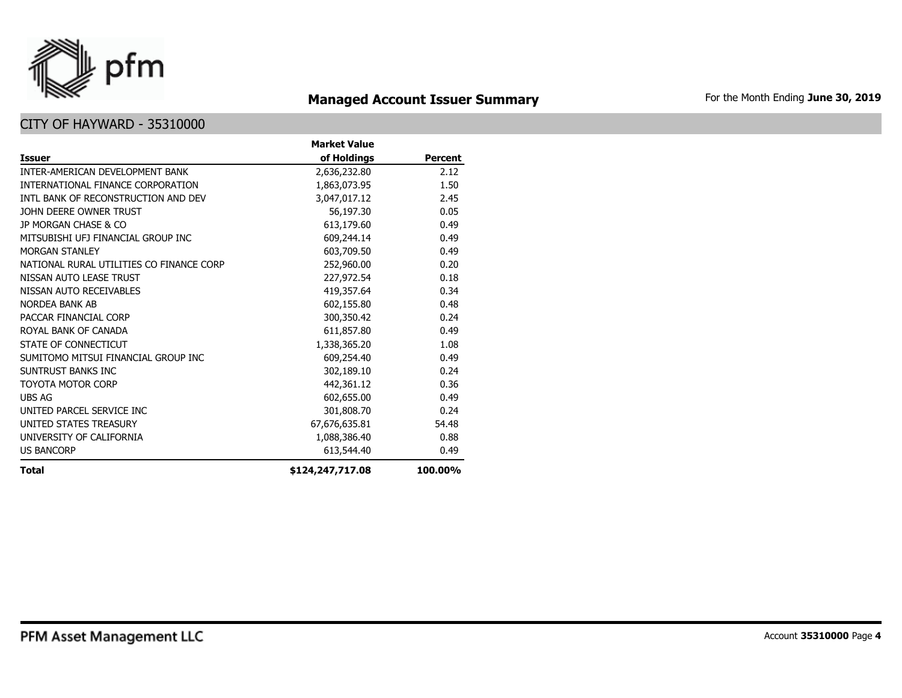

# **Managed Account Issuer Summary** For the Month Ending June 30, 2019

|                                          | <b>Market Value</b> |                |
|------------------------------------------|---------------------|----------------|
| <b>Issuer</b>                            | of Holdings         | <b>Percent</b> |
| INTER-AMERICAN DEVELOPMENT BANK          | 2,636,232.80        | 2.12           |
| INTERNATIONAL FINANCE CORPORATION        | 1,863,073.95        | 1.50           |
| INTL BANK OF RECONSTRUCTION AND DEV      | 3,047,017.12        | 2.45           |
| JOHN DEERE OWNER TRUST                   | 56,197.30           | 0.05           |
| JP MORGAN CHASE & CO                     | 613,179.60          | 0.49           |
| MITSUBISHI UFJ FINANCIAL GROUP INC       | 609,244.14          | 0.49           |
| <b>MORGAN STANLEY</b>                    | 603,709.50          | 0.49           |
| NATIONAL RURAL UTILITIES CO FINANCE CORP | 252,960.00          | 0.20           |
| NISSAN AUTO LEASE TRUST                  | 227,972.54          | 0.18           |
| NISSAN AUTO RECEIVABLES                  | 419,357.64          | 0.34           |
| NORDEA BANK AB                           | 602,155.80          | 0.48           |
| PACCAR FINANCIAL CORP                    | 300,350.42          | 0.24           |
| ROYAL BANK OF CANADA                     | 611,857.80          | 0.49           |
| STATE OF CONNECTICUT                     | 1,338,365.20        | 1.08           |
| SUMITOMO MITSUI FINANCIAL GROUP INC      | 609,254.40          | 0.49           |
| SUNTRUST BANKS INC                       | 302,189.10          | 0.24           |
| TOYOTA MOTOR CORP                        | 442,361.12          | 0.36           |
| <b>UBS AG</b>                            | 602,655.00          | 0.49           |
| UNITED PARCEL SERVICE INC                | 301,808.70          | 0.24           |
| UNITED STATES TREASURY                   | 67,676,635.81       | 54.48          |
| UNIVERSITY OF CALIFORNIA                 | 1,088,386.40        | 0.88           |
| <b>US BANCORP</b>                        | 613,544.40          | 0.49           |
| <b>Total</b>                             | \$124,247,717.08    | 100.00%        |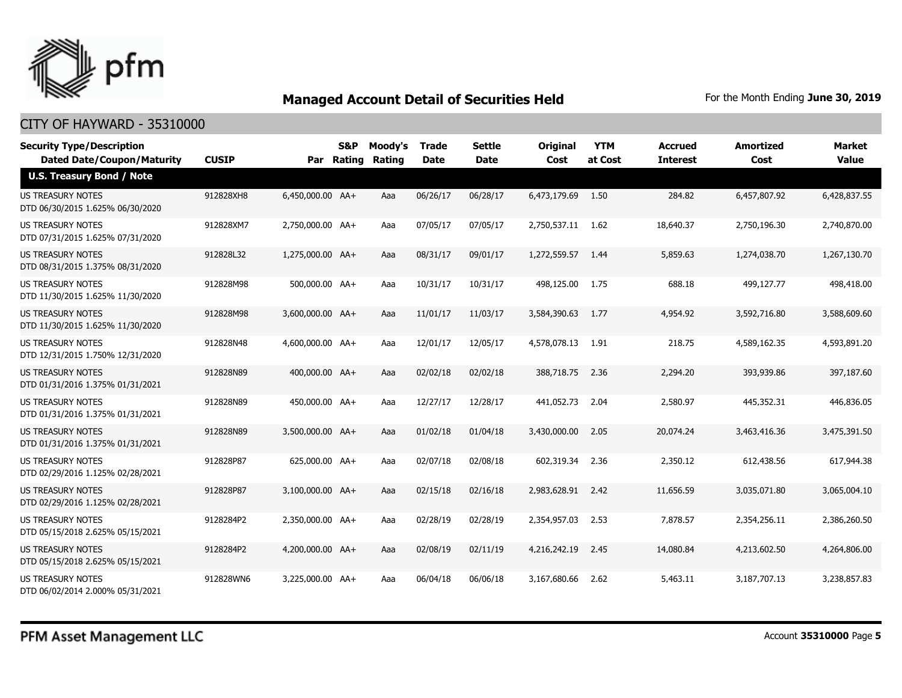

| <b>Security Type/Description</b><br><b>Dated Date/Coupon/Maturity</b> | <b>CUSIP</b> | Par              | <b>S&amp;P</b><br>Rating | Moody's<br>Rating | <b>Trade</b><br><b>Date</b> | <b>Settle</b><br><b>Date</b> | <b>Original</b><br>Cost | <b>YTM</b><br>at Cost | <b>Accrued</b><br><b>Interest</b> | <b>Amortized</b><br>Cost | <b>Market</b><br><b>Value</b> |
|-----------------------------------------------------------------------|--------------|------------------|--------------------------|-------------------|-----------------------------|------------------------------|-------------------------|-----------------------|-----------------------------------|--------------------------|-------------------------------|
| <b>U.S. Treasury Bond / Note</b>                                      |              |                  |                          |                   |                             |                              |                         |                       |                                   |                          |                               |
| <b>US TREASURY NOTES</b><br>DTD 06/30/2015 1.625% 06/30/2020          | 912828XH8    | 6,450,000.00 AA+ |                          | Aaa               | 06/26/17                    | 06/28/17                     | 6,473,179.69            | 1.50                  | 284.82                            | 6,457,807.92             | 6,428,837.55                  |
| US TREASURY NOTES<br>DTD 07/31/2015 1.625% 07/31/2020                 | 912828XM7    | 2,750,000.00 AA+ |                          | Aaa               | 07/05/17                    | 07/05/17                     | 2,750,537.11            | 1.62                  | 18,640.37                         | 2,750,196.30             | 2,740,870.00                  |
| <b>US TREASURY NOTES</b><br>DTD 08/31/2015 1.375% 08/31/2020          | 912828L32    | 1,275,000.00 AA+ |                          | Aaa               | 08/31/17                    | 09/01/17                     | 1,272,559.57            | -1.44                 | 5,859.63                          | 1,274,038.70             | 1,267,130.70                  |
| US TREASURY NOTES<br>DTD 11/30/2015 1.625% 11/30/2020                 | 912828M98    | 500,000.00 AA+   |                          | Aaa               | 10/31/17                    | 10/31/17                     | 498,125.00              | 1.75                  | 688.18                            | 499,127.77               | 498,418.00                    |
| <b>US TREASURY NOTES</b><br>DTD 11/30/2015 1.625% 11/30/2020          | 912828M98    | 3,600,000.00 AA+ |                          | Aaa               | 11/01/17                    | 11/03/17                     | 3,584,390.63            | 1.77                  | 4,954.92                          | 3,592,716.80             | 3,588,609.60                  |
| <b>US TREASURY NOTES</b><br>DTD 12/31/2015 1.750% 12/31/2020          | 912828N48    | 4,600,000.00 AA+ |                          | Aaa               | 12/01/17                    | 12/05/17                     | 4,578,078.13            | 1.91                  | 218.75                            | 4,589,162.35             | 4,593,891.20                  |
| US TREASURY NOTES<br>DTD 01/31/2016 1.375% 01/31/2021                 | 912828N89    | 400,000.00 AA+   |                          | Aaa               | 02/02/18                    | 02/02/18                     | 388,718.75              | 2.36                  | 2,294.20                          | 393,939.86               | 397,187.60                    |
| <b>US TREASURY NOTES</b><br>DTD 01/31/2016 1.375% 01/31/2021          | 912828N89    | 450,000.00 AA+   |                          | Aaa               | 12/27/17                    | 12/28/17                     | 441,052.73              | 2.04                  | 2,580.97                          | 445,352.31               | 446,836.05                    |
| <b>US TREASURY NOTES</b><br>DTD 01/31/2016 1.375% 01/31/2021          | 912828N89    | 3,500,000.00 AA+ |                          | Aaa               | 01/02/18                    | 01/04/18                     | 3,430,000.00            | 2.05                  | 20,074.24                         | 3,463,416.36             | 3,475,391.50                  |
| <b>US TREASURY NOTES</b><br>DTD 02/29/2016 1.125% 02/28/2021          | 912828P87    | 625,000.00 AA+   |                          | Aaa               | 02/07/18                    | 02/08/18                     | 602,319.34              | 2.36                  | 2,350.12                          | 612,438.56               | 617,944.38                    |
| <b>US TREASURY NOTES</b><br>DTD 02/29/2016 1.125% 02/28/2021          | 912828P87    | 3,100,000.00 AA+ |                          | Aaa               | 02/15/18                    | 02/16/18                     | 2,983,628.91            | 2.42                  | 11,656.59                         | 3,035,071.80             | 3,065,004.10                  |
| <b>US TREASURY NOTES</b><br>DTD 05/15/2018 2.625% 05/15/2021          | 9128284P2    | 2,350,000.00 AA+ |                          | Aaa               | 02/28/19                    | 02/28/19                     | 2,354,957.03            | 2.53                  | 7,878.57                          | 2,354,256.11             | 2,386,260.50                  |
| <b>US TREASURY NOTES</b><br>DTD 05/15/2018 2.625% 05/15/2021          | 9128284P2    | 4,200,000.00 AA+ |                          | Aaa               | 02/08/19                    | 02/11/19                     | 4,216,242.19            | 2.45                  | 14,080.84                         | 4,213,602.50             | 4,264,806.00                  |
| <b>US TREASURY NOTES</b><br>DTD 06/02/2014 2.000% 05/31/2021          | 912828WN6    | 3,225,000.00 AA+ |                          | Aaa               | 06/04/18                    | 06/06/18                     | 3,167,680.66            | 2.62                  | 5,463.11                          | 3,187,707.13             | 3,238,857.83                  |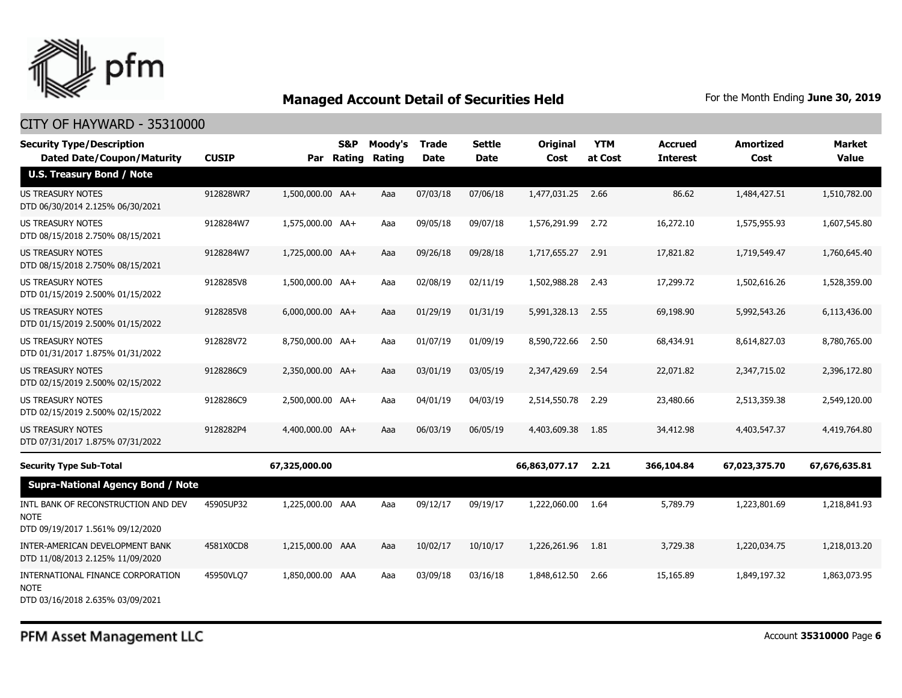

### CITY OF HAYWARD - 35310000

| <b>Security Type/Description</b><br><b>Dated Date/Coupon/Maturity</b>                  | <b>CUSIP</b> |                  | <b>S&amp;P</b><br>Par Rating | Moody's<br>Rating | <b>Trade</b><br><b>Date</b> | <b>Settle</b><br><b>Date</b> | <b>Original</b><br>Cost | <b>YTM</b><br>at Cost | <b>Accrued</b><br><b>Interest</b> | <b>Amortized</b><br>Cost | <b>Market</b><br><b>Value</b> |
|----------------------------------------------------------------------------------------|--------------|------------------|------------------------------|-------------------|-----------------------------|------------------------------|-------------------------|-----------------------|-----------------------------------|--------------------------|-------------------------------|
| <b>U.S. Treasury Bond / Note</b>                                                       |              |                  |                              |                   |                             |                              |                         |                       |                                   |                          |                               |
| <b>US TREASURY NOTES</b><br>DTD 06/30/2014 2.125% 06/30/2021                           | 912828WR7    | 1,500,000.00 AA+ |                              | Aaa               | 07/03/18                    | 07/06/18                     | 1,477,031.25            | 2.66                  | 86.62                             | 1,484,427.51             | 1,510,782.00                  |
| <b>US TREASURY NOTES</b><br>DTD 08/15/2018 2.750% 08/15/2021                           | 9128284W7    | 1,575,000.00 AA+ |                              | Aaa               | 09/05/18                    | 09/07/18                     | 1,576,291.99            | 2.72                  | 16,272.10                         | 1,575,955.93             | 1,607,545.80                  |
| <b>US TREASURY NOTES</b><br>DTD 08/15/2018 2.750% 08/15/2021                           | 9128284W7    | 1,725,000.00 AA+ |                              | Aaa               | 09/26/18                    | 09/28/18                     | 1,717,655.27            | 2.91                  | 17,821.82                         | 1,719,549.47             | 1,760,645.40                  |
| <b>US TREASURY NOTES</b><br>DTD 01/15/2019 2.500% 01/15/2022                           | 9128285V8    | 1,500,000.00 AA+ |                              | Aaa               | 02/08/19                    | 02/11/19                     | 1,502,988.28            | 2.43                  | 17,299.72                         | 1,502,616.26             | 1,528,359.00                  |
| US TREASURY NOTES<br>DTD 01/15/2019 2.500% 01/15/2022                                  | 9128285V8    | 6,000,000.00 AA+ |                              | Aaa               | 01/29/19                    | 01/31/19                     | 5,991,328.13            | 2.55                  | 69,198.90                         | 5,992,543.26             | 6,113,436.00                  |
| <b>US TREASURY NOTES</b><br>DTD 01/31/2017 1.875% 01/31/2022                           | 912828V72    | 8,750,000.00 AA+ |                              | Aaa               | 01/07/19                    | 01/09/19                     | 8,590,722.66            | 2.50                  | 68,434.91                         | 8,614,827.03             | 8,780,765.00                  |
| <b>US TREASURY NOTES</b><br>DTD 02/15/2019 2.500% 02/15/2022                           | 9128286C9    | 2,350,000.00 AA+ |                              | Aaa               | 03/01/19                    | 03/05/19                     | 2,347,429.69            | 2.54                  | 22,071.82                         | 2,347,715.02             | 2,396,172.80                  |
| <b>US TREASURY NOTES</b><br>DTD 02/15/2019 2.500% 02/15/2022                           | 9128286C9    | 2,500,000.00 AA+ |                              | Aaa               | 04/01/19                    | 04/03/19                     | 2,514,550.78            | 2.29                  | 23,480.66                         | 2,513,359.38             | 2,549,120.00                  |
| <b>US TREASURY NOTES</b><br>DTD 07/31/2017 1.875% 07/31/2022                           | 9128282P4    | 4,400,000.00 AA+ |                              | Aaa               | 06/03/19                    | 06/05/19                     | 4,403,609.38            | 1.85                  | 34,412.98                         | 4,403,547.37             | 4,419,764.80                  |
| <b>Security Type Sub-Total</b>                                                         |              | 67,325,000.00    |                              |                   |                             |                              | 66,863,077.17           | 2.21                  | 366,104.84                        | 67,023,375.70            | 67,676,635.81                 |
| <b>Supra-National Agency Bond / Note</b>                                               |              |                  |                              |                   |                             |                              |                         |                       |                                   |                          |                               |
| INTL BANK OF RECONSTRUCTION AND DEV<br><b>NOTE</b><br>DTD 09/19/2017 1.561% 09/12/2020 | 45905UP32    | 1,225,000.00 AAA |                              | Aaa               | 09/12/17                    | 09/19/17                     | 1,222,060.00            | 1.64                  | 5,789.79                          | 1,223,801.69             | 1,218,841.93                  |
| INTER-AMERICAN DEVELOPMENT BANK<br>DTD 11/08/2013 2.125% 11/09/2020                    | 4581X0CD8    | 1,215,000.00 AAA |                              | Aaa               | 10/02/17                    | 10/10/17                     | 1,226,261.96            | 1.81                  | 3,729.38                          | 1,220,034.75             | 1,218,013.20                  |
| INTERNATIONAL FINANCE CORPORATION<br><b>NOTE</b><br>DTD 03/16/2018 2.635% 03/09/2021   | 45950VLQ7    | 1,850,000.00 AAA |                              | Aaa               | 03/09/18                    | 03/16/18                     | 1,848,612.50            | 2.66                  | 15,165.89                         | 1,849,197.32             | 1,863,073.95                  |

PFM Asset Management LLC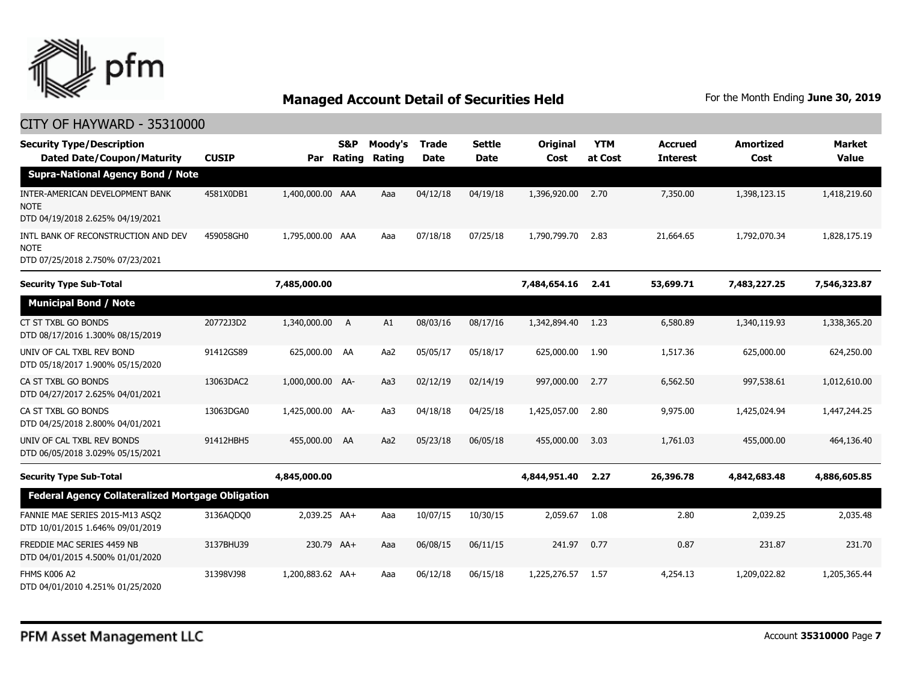

| <b>Security Type/Description</b><br><b>Dated Date/Coupon/Maturity</b>                  | <b>CUSIP</b> | Par              | S&P<br>Rating | Moody's<br>Rating | <b>Trade</b><br><b>Date</b> | <b>Settle</b><br>Date | <b>Original</b><br>Cost | <b>YTM</b><br>at Cost | <b>Accrued</b><br><b>Interest</b> | <b>Amortized</b><br>Cost | <b>Market</b><br><b>Value</b> |
|----------------------------------------------------------------------------------------|--------------|------------------|---------------|-------------------|-----------------------------|-----------------------|-------------------------|-----------------------|-----------------------------------|--------------------------|-------------------------------|
| <b>Supra-National Agency Bond / Note</b>                                               |              |                  |               |                   |                             |                       |                         |                       |                                   |                          |                               |
| INTER-AMERICAN DEVELOPMENT BANK<br><b>NOTE</b><br>DTD 04/19/2018 2.625% 04/19/2021     | 4581X0DB1    | 1,400,000.00 AAA |               | Aaa               | 04/12/18                    | 04/19/18              | 1,396,920.00            | 2.70                  | 7,350.00                          | 1,398,123.15             | 1,418,219.60                  |
| INTL BANK OF RECONSTRUCTION AND DEV<br><b>NOTE</b><br>DTD 07/25/2018 2.750% 07/23/2021 | 459058GH0    | 1,795,000.00 AAA |               | Aaa               | 07/18/18                    | 07/25/18              | 1,790,799.70            | 2.83                  | 21,664.65                         | 1,792,070.34             | 1,828,175.19                  |
| <b>Security Type Sub-Total</b>                                                         |              | 7,485,000.00     |               |                   |                             |                       | 7,484,654.16            | 2.41                  | 53,699.71                         | 7,483,227.25             | 7,546,323.87                  |
| <b>Municipal Bond / Note</b>                                                           |              |                  |               |                   |                             |                       |                         |                       |                                   |                          |                               |
| CT ST TXBL GO BONDS<br>DTD 08/17/2016 1.300% 08/15/2019                                | 20772J3D2    | 1,340,000.00     | A             | A1                | 08/03/16                    | 08/17/16              | 1,342,894.40            | 1.23                  | 6,580.89                          | 1,340,119.93             | 1,338,365.20                  |
| UNIV OF CAL TXBL REV BOND<br>DTD 05/18/2017 1.900% 05/15/2020                          | 91412GS89    | 625,000.00       | AA            | Aa2               | 05/05/17                    | 05/18/17              | 625,000.00              | 1.90                  | 1,517.36                          | 625,000.00               | 624,250.00                    |
| CA ST TXBL GO BONDS<br>DTD 04/27/2017 2.625% 04/01/2021                                | 13063DAC2    | 1,000,000.00 AA- |               | Aa3               | 02/12/19                    | 02/14/19              | 997,000.00              | 2.77                  | 6,562.50                          | 997.538.61               | 1,012,610.00                  |
| CA ST TXBL GO BONDS<br>DTD 04/25/2018 2.800% 04/01/2021                                | 13063DGA0    | 1,425,000.00 AA- |               | Aa3               | 04/18/18                    | 04/25/18              | 1,425,057.00            | 2.80                  | 9,975.00                          | 1,425,024.94             | 1,447,244.25                  |
| UNIV OF CAL TXBL REV BONDS<br>DTD 06/05/2018 3.029% 05/15/2021                         | 91412HBH5    | 455,000.00       | AA            | Aa2               | 05/23/18                    | 06/05/18              | 455,000.00              | 3.03                  | 1,761.03                          | 455,000.00               | 464,136.40                    |
| <b>Security Type Sub-Total</b>                                                         |              | 4,845,000.00     |               |                   |                             |                       | 4,844,951.40            | 2.27                  | 26,396.78                         | 4,842,683.48             | 4,886,605.85                  |
| <b>Federal Agency Collateralized Mortgage Obligation</b>                               |              |                  |               |                   |                             |                       |                         |                       |                                   |                          |                               |
| FANNIE MAE SERIES 2015-M13 ASQ2<br>DTD 10/01/2015 1.646% 09/01/2019                    | 3136AQDQ0    | 2,039.25 AA+     |               | Aaa               | 10/07/15                    | 10/30/15              | 2,059.67                | 1.08                  | 2.80                              | 2,039.25                 | 2,035.48                      |
| FREDDIE MAC SERIES 4459 NB<br>DTD 04/01/2015 4.500% 01/01/2020                         | 3137BHU39    | 230.79 AA+       |               | Aaa               | 06/08/15                    | 06/11/15              | 241.97                  | 0.77                  | 0.87                              | 231.87                   | 231.70                        |
| <b>FHMS K006 A2</b><br>DTD 04/01/2010 4.251% 01/25/2020                                | 31398VJ98    | 1,200,883.62 AA+ |               | Aaa               | 06/12/18                    | 06/15/18              | 1,225,276.57            | 1.57                  | 4,254.13                          | 1,209,022.82             | 1,205,365.44                  |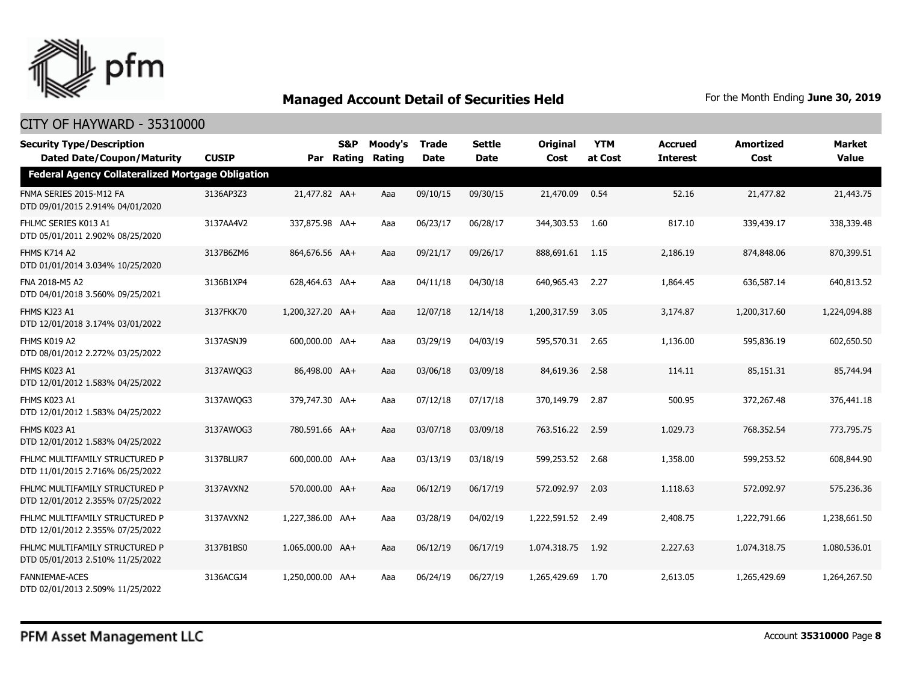

| <b>Security Type/Description</b><br><b>Dated Date/Coupon/Maturity</b> | <b>CUSIP</b> |                  | S&P<br>Par Rating | Moody's<br>Rating | <b>Trade</b><br><b>Date</b> | <b>Settle</b><br><b>Date</b> | <b>Original</b><br>Cost | <b>YTM</b><br>at Cost | <b>Accrued</b><br><b>Interest</b> | <b>Amortized</b><br>Cost | <b>Market</b><br><b>Value</b> |
|-----------------------------------------------------------------------|--------------|------------------|-------------------|-------------------|-----------------------------|------------------------------|-------------------------|-----------------------|-----------------------------------|--------------------------|-------------------------------|
| <b>Federal Agency Collateralized Mortgage Obligation</b>              |              |                  |                   |                   |                             |                              |                         |                       |                                   |                          |                               |
| FNMA SERIES 2015-M12 FA<br>DTD 09/01/2015 2.914% 04/01/2020           | 3136AP3Z3    | 21,477.82 AA+    |                   | Aaa               | 09/10/15                    | 09/30/15                     | 21,470.09               | 0.54                  | 52.16                             | 21,477.82                | 21,443.75                     |
| FHLMC SERIES K013 A1<br>DTD 05/01/2011 2.902% 08/25/2020              | 3137AA4V2    | 337,875.98 AA+   |                   | Aaa               | 06/23/17                    | 06/28/17                     | 344,303.53              | 1.60                  | 817.10                            | 339,439.17               | 338,339.48                    |
| <b>FHMS K714 A2</b><br>DTD 01/01/2014 3.034% 10/25/2020               | 3137B6ZM6    | 864,676.56 AA+   |                   | Aaa               | 09/21/17                    | 09/26/17                     | 888,691.61              | - 1.15                | 2,186.19                          | 874,848.06               | 870,399.51                    |
| FNA 2018-M5 A2<br>DTD 04/01/2018 3.560% 09/25/2021                    | 3136B1XP4    | 628,464.63 AA+   |                   | Aaa               | 04/11/18                    | 04/30/18                     | 640,965.43 2.27         |                       | 1,864.45                          | 636,587.14               | 640,813.52                    |
| FHMS KJ23 A1<br>DTD 12/01/2018 3.174% 03/01/2022                      | 3137FKK70    | 1,200,327.20 AA+ |                   | Aaa               | 12/07/18                    | 12/14/18                     | 1,200,317.59            | 3.05                  | 3,174.87                          | 1,200,317.60             | 1,224,094.88                  |
| FHMS K019 A2<br>DTD 08/01/2012 2.272% 03/25/2022                      | 3137ASNJ9    | 600,000.00 AA+   |                   | Aaa               | 03/29/19                    | 04/03/19                     | 595,570.31 2.65         |                       | 1,136.00                          | 595,836.19               | 602,650.50                    |
| FHMS K023 A1<br>DTD 12/01/2012 1.583% 04/25/2022                      | 3137AWQG3    | 86,498.00 AA+    |                   | Aaa               | 03/06/18                    | 03/09/18                     | 84,619.36               | 2.58                  | 114.11                            | 85,151.31                | 85,744.94                     |
| FHMS K023 A1<br>DTD 12/01/2012 1.583% 04/25/2022                      | 3137AWQG3    | 379,747.30 AA+   |                   | Aaa               | 07/12/18                    | 07/17/18                     | 370,149.79              | 2.87                  | 500.95                            | 372,267.48               | 376,441.18                    |
| FHMS K023 A1<br>DTD 12/01/2012 1.583% 04/25/2022                      | 3137AWQG3    | 780.591.66 AA+   |                   | Aaa               | 03/07/18                    | 03/09/18                     | 763,516.22 2.59         |                       | 1,029.73                          | 768,352.54               | 773,795.75                    |
| FHLMC MULTIFAMILY STRUCTURED P<br>DTD 11/01/2015 2.716% 06/25/2022    | 3137BLUR7    | 600,000.00 AA+   |                   | Aaa               | 03/13/19                    | 03/18/19                     | 599,253.52              | 2.68                  | 1,358.00                          | 599,253.52               | 608,844.90                    |
| FHLMC MULTIFAMILY STRUCTURED P<br>DTD 12/01/2012 2.355% 07/25/2022    | 3137AVXN2    | 570,000.00 AA+   |                   | Aaa               | 06/12/19                    | 06/17/19                     | 572,092.97              | 2.03                  | 1,118.63                          | 572,092.97               | 575,236.36                    |
| FHLMC MULTIFAMILY STRUCTURED P<br>DTD 12/01/2012 2.355% 07/25/2022    | 3137AVXN2    | 1,227,386.00 AA+ |                   | Aaa               | 03/28/19                    | 04/02/19                     | 1,222,591.52            | 2.49                  | 2,408.75                          | 1,222,791.66             | 1,238,661.50                  |
| FHLMC MULTIFAMILY STRUCTURED P<br>DTD 05/01/2013 2.510% 11/25/2022    | 3137B1BS0    | 1,065,000.00 AA+ |                   | Aaa               | 06/12/19                    | 06/17/19                     | 1,074,318.75            | 1.92                  | 2,227.63                          | 1,074,318.75             | 1,080,536.01                  |
| <b>FANNIEMAE-ACES</b><br>DTD 02/01/2013 2.509% 11/25/2022             | 3136ACGJ4    | 1,250,000.00 AA+ |                   | Aaa               | 06/24/19                    | 06/27/19                     | 1,265,429.69            | 1.70                  | 2,613.05                          | 1,265,429.69             | 1,264,267.50                  |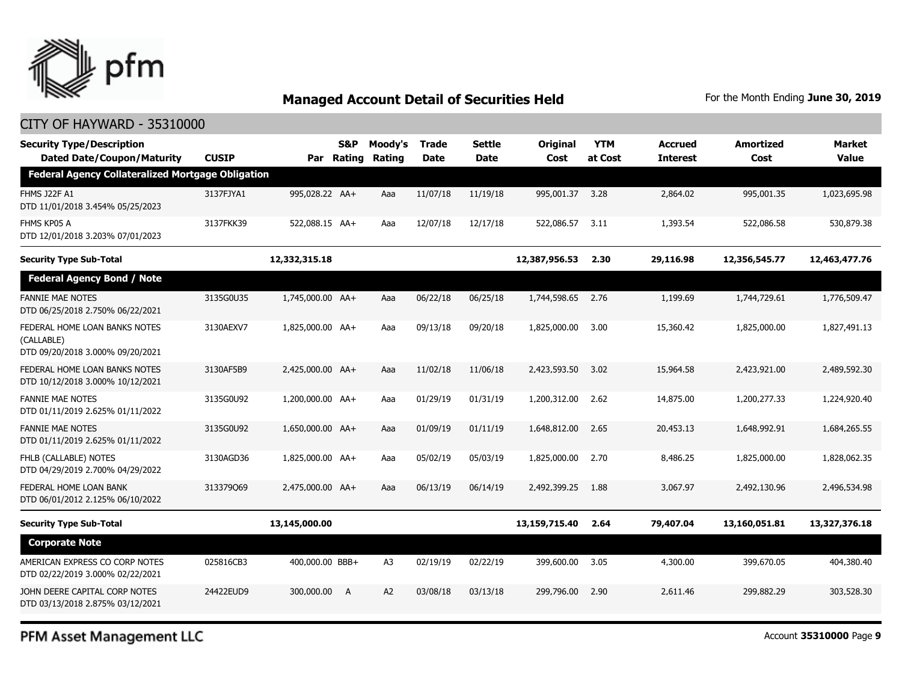

### CITY OF HAYWARD - 35310000

| <b>Security Type/Description</b><br><b>Dated Date/Coupon/Maturity</b>           | <b>CUSIP</b> | Par              | S&P<br><b>Rating</b> | Moody's<br>Rating | <b>Trade</b><br><b>Date</b> | Settle<br><b>Date</b> | Original<br>Cost | <b>YTM</b><br>at Cost | <b>Accrued</b><br><b>Interest</b> | Amortized<br>Cost | <b>Market</b><br><b>Value</b> |
|---------------------------------------------------------------------------------|--------------|------------------|----------------------|-------------------|-----------------------------|-----------------------|------------------|-----------------------|-----------------------------------|-------------------|-------------------------------|
| <b>Federal Agency Collateralized Mortgage Obligation</b>                        |              |                  |                      |                   |                             |                       |                  |                       |                                   |                   |                               |
| <b>FHMS J22F A1</b><br>DTD 11/01/2018 3.454% 05/25/2023                         | 3137FJYA1    | 995,028.22 AA+   |                      | Aaa               | 11/07/18                    | 11/19/18              | 995,001.37 3.28  |                       | 2,864.02                          | 995,001.35        | 1,023,695.98                  |
| FHMS KP05 A<br>DTD 12/01/2018 3.203% 07/01/2023                                 | 3137FKK39    | 522,088.15 AA+   |                      | Aaa               | 12/07/18                    | 12/17/18              | 522,086.57       | 3.11                  | 1,393.54                          | 522,086.58        | 530,879.38                    |
| <b>Security Type Sub-Total</b>                                                  |              | 12,332,315.18    |                      |                   |                             |                       | 12,387,956.53    | 2.30                  | 29,116.98                         | 12,356,545.77     | 12,463,477.76                 |
| <b>Federal Agency Bond / Note</b>                                               |              |                  |                      |                   |                             |                       |                  |                       |                                   |                   |                               |
| <b>FANNIE MAE NOTES</b><br>DTD 06/25/2018 2.750% 06/22/2021                     | 3135G0U35    | 1,745,000.00 AA+ |                      | Aaa               | 06/22/18                    | 06/25/18              | 1,744,598.65     | 2.76                  | 1,199.69                          | 1,744,729.61      | 1,776,509.47                  |
| FEDERAL HOME LOAN BANKS NOTES<br>(CALLABLE)<br>DTD 09/20/2018 3.000% 09/20/2021 | 3130AEXV7    | 1,825,000.00 AA+ |                      | Aaa               | 09/13/18                    | 09/20/18              | 1,825,000.00     | 3.00                  | 15,360.42                         | 1,825,000.00      | 1,827,491.13                  |
| FEDERAL HOME LOAN BANKS NOTES<br>DTD 10/12/2018 3.000% 10/12/2021               | 3130AF5B9    | 2,425,000.00 AA+ |                      | Aaa               | 11/02/18                    | 11/06/18              | 2,423,593.50     | 3.02                  | 15,964.58                         | 2,423,921.00      | 2,489,592.30                  |
| <b>FANNIE MAE NOTES</b><br>DTD 01/11/2019 2.625% 01/11/2022                     | 3135G0U92    | 1,200,000.00 AA+ |                      | Aaa               | 01/29/19                    | 01/31/19              | 1,200,312.00     | 2.62                  | 14,875.00                         | 1,200,277.33      | 1,224,920.40                  |
| <b>FANNIE MAE NOTES</b><br>DTD 01/11/2019 2.625% 01/11/2022                     | 3135G0U92    | 1,650,000.00 AA+ |                      | Aaa               | 01/09/19                    | 01/11/19              | 1,648,812.00     | 2.65                  | 20,453.13                         | 1,648,992.91      | 1,684,265,55                  |
| FHLB (CALLABLE) NOTES<br>DTD 04/29/2019 2.700% 04/29/2022                       | 3130AGD36    | 1,825,000.00 AA+ |                      | Aaa               | 05/02/19                    | 05/03/19              | 1,825,000.00     | 2.70                  | 8,486.25                          | 1,825,000.00      | 1,828,062.35                  |
| FEDERAL HOME LOAN BANK<br>DTD 06/01/2012 2.125% 06/10/2022                      | 313379069    | 2,475,000.00 AA+ |                      | Aaa               | 06/13/19                    | 06/14/19              | 2,492,399.25     | 1.88                  | 3,067.97                          | 2,492,130.96      | 2,496,534.98                  |
| <b>Security Type Sub-Total</b>                                                  |              | 13,145,000.00    |                      |                   |                             |                       | 13,159,715.40    | 2.64                  | 79,407.04                         | 13,160,051.81     | 13,327,376.18                 |
| <b>Corporate Note</b>                                                           |              |                  |                      |                   |                             |                       |                  |                       |                                   |                   |                               |
| AMERICAN EXPRESS CO CORP NOTES<br>DTD 02/22/2019 3.000% 02/22/2021              | 025816CB3    | 400,000.00 BBB+  |                      | A3                | 02/19/19                    | 02/22/19              | 399,600.00       | 3.05                  | 4,300.00                          | 399,670.05        | 404,380.40                    |
| JOHN DEERE CAPITAL CORP NOTES<br>DTD 03/13/2018 2.875% 03/12/2021               | 24422EUD9    | 300,000.00       | A                    | A2                | 03/08/18                    | 03/13/18              | 299,796.00       | 2.90                  | 2,611.46                          | 299,882.29        | 303,528.30                    |

PFM Asset Management LLC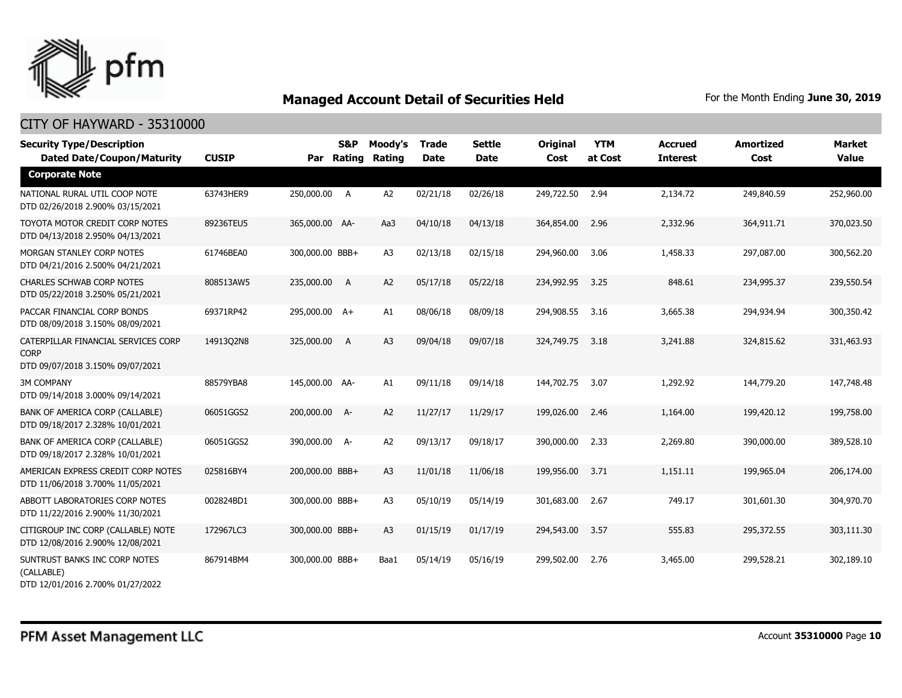

| <b>Security Type/Description</b><br><b>Dated Date/Coupon/Maturity</b>                  | <b>CUSIP</b> | Par             | S&P<br>Rating | Moody's<br>Rating | <b>Trade</b><br><b>Date</b> | <b>Settle</b><br><b>Date</b> | <b>Original</b><br>Cost | <b>YTM</b><br>at Cost | Accrued<br><b>Interest</b> | <b>Amortized</b><br>Cost | <b>Market</b><br><b>Value</b> |
|----------------------------------------------------------------------------------------|--------------|-----------------|---------------|-------------------|-----------------------------|------------------------------|-------------------------|-----------------------|----------------------------|--------------------------|-------------------------------|
| <b>Corporate Note</b>                                                                  |              |                 |               |                   |                             |                              |                         |                       |                            |                          |                               |
| NATIONAL RURAL UTIL COOP NOTE<br>DTD 02/26/2018 2.900% 03/15/2021                      | 63743HER9    | 250,000.00 A    |               | A <sub>2</sub>    | 02/21/18                    | 02/26/18                     | 249,722.50              | 2.94                  | 2,134.72                   | 249,840.59               | 252,960.00                    |
| TOYOTA MOTOR CREDIT CORP NOTES<br>DTD 04/13/2018 2.950% 04/13/2021                     | 89236TEU5    | 365,000.00 AA-  |               | Aa3               | 04/10/18                    | 04/13/18                     | 364,854.00              | 2.96                  | 2,332.96                   | 364,911.71               | 370,023.50                    |
| MORGAN STANLEY CORP NOTES<br>DTD 04/21/2016 2.500% 04/21/2021                          | 61746BEA0    | 300,000.00 BBB+ |               | A <sub>3</sub>    | 02/13/18                    | 02/15/18                     | 294,960.00              | 3.06                  | 1,458.33                   | 297,087.00               | 300,562.20                    |
| <b>CHARLES SCHWAB CORP NOTES</b><br>DTD 05/22/2018 3.250% 05/21/2021                   | 808513AW5    | 235,000.00 A    |               | A2                | 05/17/18                    | 05/22/18                     | 234,992.95              | 3.25                  | 848.61                     | 234,995.37               | 239,550.54                    |
| PACCAR FINANCIAL CORP BONDS<br>DTD 08/09/2018 3.150% 08/09/2021                        | 69371RP42    | 295,000.00 A+   |               | A1                | 08/06/18                    | 08/09/18                     | 294,908.55              | 3.16                  | 3,665.38                   | 294,934.94               | 300,350.42                    |
| CATERPILLAR FINANCIAL SERVICES CORP<br><b>CORP</b><br>DTD 09/07/2018 3.150% 09/07/2021 | 14913Q2N8    | 325,000.00      | A             | A3                | 09/04/18                    | 09/07/18                     | 324,749.75              | 3.18                  | 3,241.88                   | 324,815.62               | 331,463.93                    |
| <b>3M COMPANY</b><br>DTD 09/14/2018 3.000% 09/14/2021                                  | 88579YBA8    | 145,000.00 AA-  |               | A1                | 09/11/18                    | 09/14/18                     | 144,702.75              | 3.07                  | 1,292.92                   | 144,779.20               | 147,748.48                    |
| BANK OF AMERICA CORP (CALLABLE)<br>DTD 09/18/2017 2.328% 10/01/2021                    | 06051GGS2    | 200,000.00 A-   |               | A2                | 11/27/17                    | 11/29/17                     | 199,026.00              | 2.46                  | 1,164.00                   | 199,420.12               | 199,758.00                    |
| BANK OF AMERICA CORP (CALLABLE)<br>DTD 09/18/2017 2.328% 10/01/2021                    | 06051GGS2    | 390,000.00 A-   |               | A2                | 09/13/17                    | 09/18/17                     | 390,000.00              | 2.33                  | 2,269.80                   | 390,000.00               | 389,528.10                    |
| AMERICAN EXPRESS CREDIT CORP NOTES<br>DTD 11/06/2018 3.700% 11/05/2021                 | 025816BY4    | 200,000.00 BBB+ |               | A3                | 11/01/18                    | 11/06/18                     | 199,956.00              | 3.71                  | 1,151.11                   | 199,965.04               | 206,174.00                    |
| ABBOTT LABORATORIES CORP NOTES<br>DTD 11/22/2016 2.900% 11/30/2021                     | 002824BD1    | 300,000.00 BBB+ |               | A3                | 05/10/19                    | 05/14/19                     | 301,683.00              | 2.67                  | 749.17                     | 301,601.30               | 304,970.70                    |
| CITIGROUP INC CORP (CALLABLE) NOTE<br>DTD 12/08/2016 2.900% 12/08/2021                 | 172967LC3    | 300,000.00 BBB+ |               | A3                | 01/15/19                    | 01/17/19                     | 294,543.00              | 3.57                  | 555.83                     | 295,372.55               | 303,111.30                    |
| SUNTRUST BANKS INC CORP NOTES<br>(CALLABLE)<br>DTD 12/01/2016 2.700% 01/27/2022        | 867914BM4    | 300,000.00 BBB+ |               | Baa1              | 05/14/19                    | 05/16/19                     | 299,502.00              | 2.76                  | 3,465.00                   | 299,528.21               | 302,189.10                    |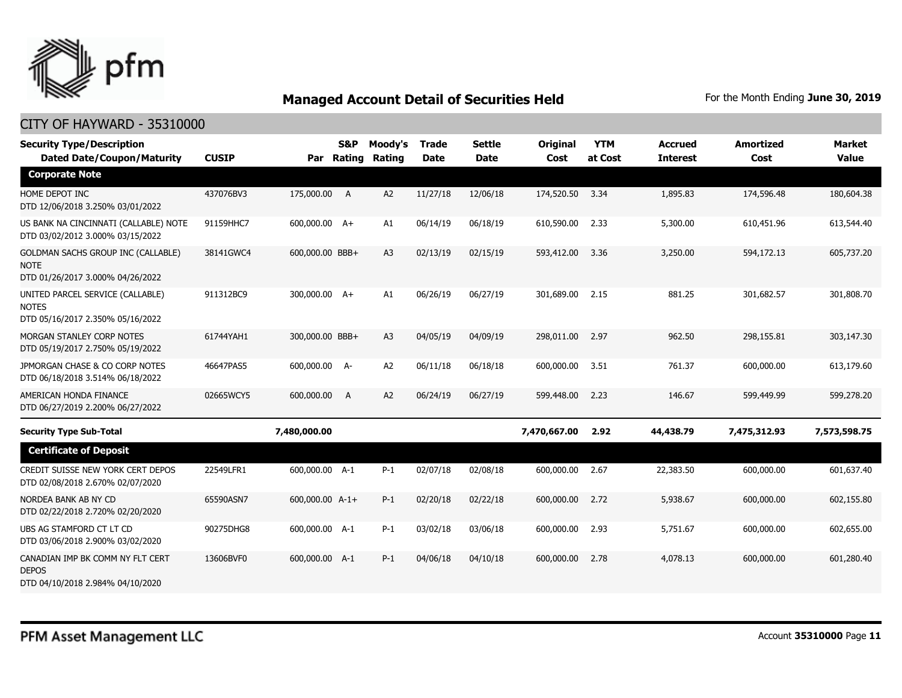

| <b>Security Type/Description</b><br><b>Dated Date/Coupon/Maturity</b>                        | <b>CUSIP</b> |                 | <b>S&amp;P</b><br>Par Rating | Moody's<br><b>Rating</b> | <b>Trade</b><br><b>Date</b> | Settle<br><b>Date</b> | <b>Original</b><br>Cost | <b>YTM</b><br>at Cost | <b>Accrued</b><br><b>Interest</b> | <b>Amortized</b><br>Cost | <b>Market</b><br><b>Value</b> |
|----------------------------------------------------------------------------------------------|--------------|-----------------|------------------------------|--------------------------|-----------------------------|-----------------------|-------------------------|-----------------------|-----------------------------------|--------------------------|-------------------------------|
| <b>Corporate Note</b>                                                                        |              |                 |                              |                          |                             |                       |                         |                       |                                   |                          |                               |
| HOME DEPOT INC<br>DTD 12/06/2018 3.250% 03/01/2022                                           | 437076BV3    | 175,000.00 A    |                              | A2                       | 11/27/18                    | 12/06/18              | 174,520.50              | 3.34                  | 1,895.83                          | 174,596.48               | 180,604.38                    |
| US BANK NA CINCINNATI (CALLABLE) NOTE<br>DTD 03/02/2012 3.000% 03/15/2022                    | 91159HHC7    | 600,000.00 A+   |                              | A1                       | 06/14/19                    | 06/18/19              | 610,590.00              | 2.33                  | 5,300.00                          | 610,451.96               | 613,544.40                    |
| <b>GOLDMAN SACHS GROUP INC (CALLABLE)</b><br><b>NOTE</b><br>DTD 01/26/2017 3.000% 04/26/2022 | 38141GWC4    | 600,000.00 BBB+ |                              | A <sub>3</sub>           | 02/13/19                    | 02/15/19              | 593,412.00              | 3.36                  | 3,250.00                          | 594,172.13               | 605,737.20                    |
| UNITED PARCEL SERVICE (CALLABLE)<br><b>NOTES</b><br>DTD 05/16/2017 2.350% 05/16/2022         | 911312BC9    | 300,000.00 A+   |                              | A1                       | 06/26/19                    | 06/27/19              | 301,689.00              | 2.15                  | 881.25                            | 301,682.57               | 301,808.70                    |
| MORGAN STANLEY CORP NOTES<br>DTD 05/19/2017 2.750% 05/19/2022                                | 61744YAH1    | 300,000.00 BBB+ |                              | A <sub>3</sub>           | 04/05/19                    | 04/09/19              | 298,011.00              | 2.97                  | 962.50                            | 298,155.81               | 303,147.30                    |
| JPMORGAN CHASE & CO CORP NOTES<br>DTD 06/18/2018 3.514% 06/18/2022                           | 46647PAS5    | 600,000.00 A-   |                              | A <sub>2</sub>           | 06/11/18                    | 06/18/18              | 600,000,00              | 3.51                  | 761.37                            | 600,000.00               | 613,179.60                    |
| AMERICAN HONDA FINANCE<br>DTD 06/27/2019 2.200% 06/27/2022                                   | 02665WCY5    | 600,000.00      | A                            | A2                       | 06/24/19                    | 06/27/19              | 599,448.00              | 2.23                  | 146.67                            | 599,449.99               | 599,278.20                    |
| <b>Security Type Sub-Total</b>                                                               |              | 7,480,000.00    |                              |                          |                             |                       | 7,470,667.00            | 2.92                  | 44,438.79                         | 7,475,312.93             | 7,573,598.75                  |
| <b>Certificate of Deposit</b>                                                                |              |                 |                              |                          |                             |                       |                         |                       |                                   |                          |                               |
| CREDIT SUISSE NEW YORK CERT DEPOS<br>DTD 02/08/2018 2.670% 02/07/2020                        | 22549LFR1    | 600,000.00 A-1  |                              | $P-1$                    | 02/07/18                    | 02/08/18              | 600,000.00              | 2.67                  | 22,383.50                         | 600,000.00               | 601,637.40                    |
| NORDEA BANK AB NY CD<br>DTD 02/22/2018 2.720% 02/20/2020                                     | 65590ASN7    | 600,000.00 A-1+ |                              | $P-1$                    | 02/20/18                    | 02/22/18              | 600,000.00              | 2.72                  | 5,938.67                          | 600,000.00               | 602,155.80                    |
| UBS AG STAMFORD CT LT CD<br>DTD 03/06/2018 2.900% 03/02/2020                                 | 90275DHG8    | 600,000.00 A-1  |                              | $P-1$                    | 03/02/18                    | 03/06/18              | 600,000.00              | 2.93                  | 5,751.67                          | 600,000.00               | 602,655.00                    |
| CANADIAN IMP BK COMM NY FLT CERT<br><b>DEPOS</b><br>DTD 04/10/2018 2.984% 04/10/2020         | 13606BVF0    | 600,000.00 A-1  |                              | $P-1$                    | 04/06/18                    | 04/10/18              | 600,000.00              | 2.78                  | 4,078.13                          | 600,000.00               | 601,280.40                    |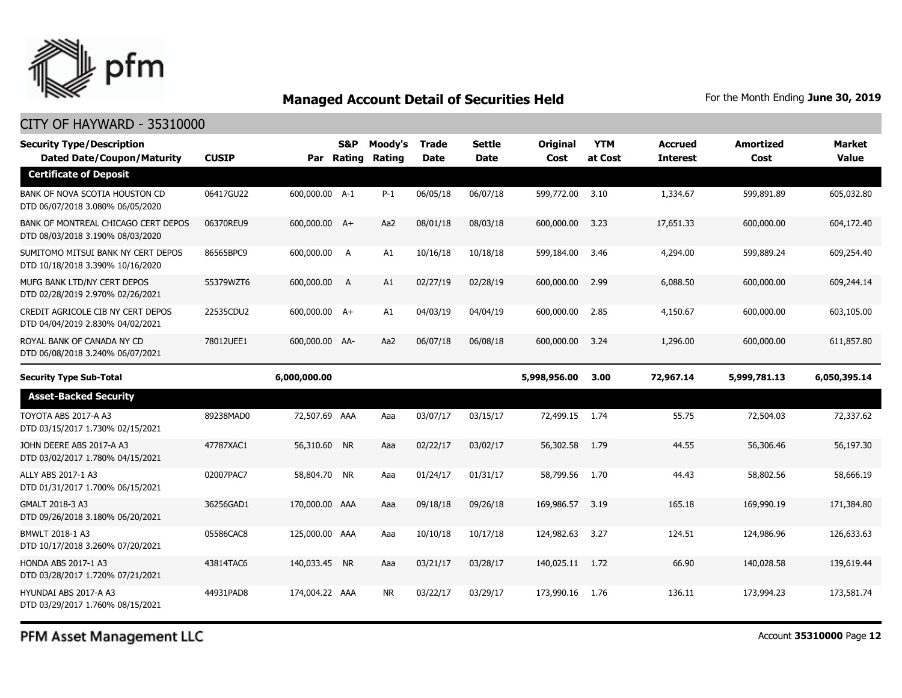

### CITY OF HAYWARD - 35310000

| <b>Security Type/Description</b><br><b>Dated Date/Coupon/Maturity</b>   | <b>CUSIP</b> |                | <b>S&amp;P</b><br>Par Rating | Moody's<br>Rating | <b>Trade</b><br><b>Date</b> | Settle<br><b>Date</b> | <b>Original</b><br>Cost | <b>YTM</b><br>at Cost | <b>Accrued</b><br><b>Interest</b> | <b>Amortized</b><br>Cost | <b>Market</b><br><b>Value</b> |
|-------------------------------------------------------------------------|--------------|----------------|------------------------------|-------------------|-----------------------------|-----------------------|-------------------------|-----------------------|-----------------------------------|--------------------------|-------------------------------|
| <b>Certificate of Deposit</b>                                           |              |                |                              |                   |                             |                       |                         |                       |                                   |                          |                               |
| BANK OF NOVA SCOTIA HOUSTON CD<br>DTD 06/07/2018 3.080% 06/05/2020      | 06417GU22    | 600,000.00 A-1 |                              | $P-1$             | 06/05/18                    | 06/07/18              | 599,772.00              | 3.10                  | 1,334.67                          | 599,891.89               | 605,032.80                    |
| BANK OF MONTREAL CHICAGO CERT DEPOS<br>DTD 08/03/2018 3.190% 08/03/2020 | 06370REU9    | 600,000.00 A+  |                              | Aa2               | 08/01/18                    | 08/03/18              | 600,000.00              | 3.23                  | 17,651.33                         | 600,000.00               | 604,172.40                    |
| SUMITOMO MITSUI BANK NY CERT DEPOS<br>DTD 10/18/2018 3.390% 10/16/2020  | 86565BPC9    | 600,000.00 A   |                              | A1                | 10/16/18                    | 10/18/18              | 599,184.00              | 3.46                  | 4,294.00                          | 599,889.24               | 609,254.40                    |
| MUFG BANK LTD/NY CERT DEPOS<br>DTD 02/28/2019 2.970% 02/26/2021         | 55379WZT6    | 600,000.00     | A                            | A1                | 02/27/19                    | 02/28/19              | 600,000.00              | 2.99                  | 6,088.50                          | 600,000.00               | 609,244.14                    |
| CREDIT AGRICOLE CIB NY CERT DEPOS<br>DTD 04/04/2019 2.830% 04/02/2021   | 22535CDU2    | 600,000.00 A+  |                              | A1                | 04/03/19                    | 04/04/19              | 600,000.00              | 2.85                  | 4,150.67                          | 600,000.00               | 603,105.00                    |
| ROYAL BANK OF CANADA NY CD<br>DTD 06/08/2018 3.240% 06/07/2021          | 78012UEE1    | 600,000,00 AA- |                              | Aa2               | 06/07/18                    | 06/08/18              | 600,000.00              | 3.24                  | 1,296.00                          | 600,000,00               | 611,857.80                    |
| <b>Security Type Sub-Total</b>                                          |              | 6,000,000.00   |                              |                   |                             |                       | 5,998,956.00            | 3.00                  | 72,967.14                         | 5,999,781.13             | 6,050,395.14                  |
| <b>Asset-Backed Security</b>                                            |              |                |                              |                   |                             |                       |                         |                       |                                   |                          |                               |
| TOYOTA ABS 2017-A A3<br>DTD 03/15/2017 1.730% 02/15/2021                | 89238MAD0    | 72,507.69 AAA  |                              | Aaa               | 03/07/17                    | 03/15/17              | 72,499.15 1.74          |                       | 55.75                             | 72,504.03                | 72,337.62                     |
| JOHN DEERE ABS 2017-A A3<br>DTD 03/02/2017 1.780% 04/15/2021            | 47787XAC1    | 56,310.60 NR   |                              | Aaa               | 02/22/17                    | 03/02/17              | 56,302.58               | 1.79                  | 44.55                             | 56,306.46                | 56,197.30                     |
| ALLY ABS 2017-1 A3<br>DTD 01/31/2017 1.700% 06/15/2021                  | 02007PAC7    | 58,804.70 NR   |                              | Aaa               | 01/24/17                    | 01/31/17              | 58,799.56               | 1.70                  | 44.43                             | 58,802.56                | 58,666.19                     |
| GMALT 2018-3 A3<br>DTD 09/26/2018 3.180% 06/20/2021                     | 36256GAD1    | 170,000.00 AAA |                              | Aaa               | 09/18/18                    | 09/26/18              | 169,986.57              | 3.19                  | 165.18                            | 169,990.19               | 171,384.80                    |
| BMWLT 2018-1 A3<br>DTD 10/17/2018 3.260% 07/20/2021                     | 05586CAC8    | 125,000.00 AAA |                              | Aaa               | 10/10/18                    | 10/17/18              | 124,982.63              | 3.27                  | 124.51                            | 124,986,96               | 126,633,63                    |
| <b>HONDA ABS 2017-1 A3</b><br>DTD 03/28/2017 1.720% 07/21/2021          | 43814TAC6    | 140,033.45 NR  |                              | Aaa               | 03/21/17                    | 03/28/17              | 140,025.11 1.72         |                       | 66.90                             | 140,028.58               | 139,619.44                    |
| HYUNDAI ABS 2017-A A3<br>DTD 03/29/2017 1.760% 08/15/2021               | 44931PAD8    | 174,004.22 AAA |                              | <b>NR</b>         | 03/22/17                    | 03/29/17              | 173,990.16              | 1.76                  | 136.11                            | 173,994.23               | 173,581.74                    |

PFM Asset Management LLC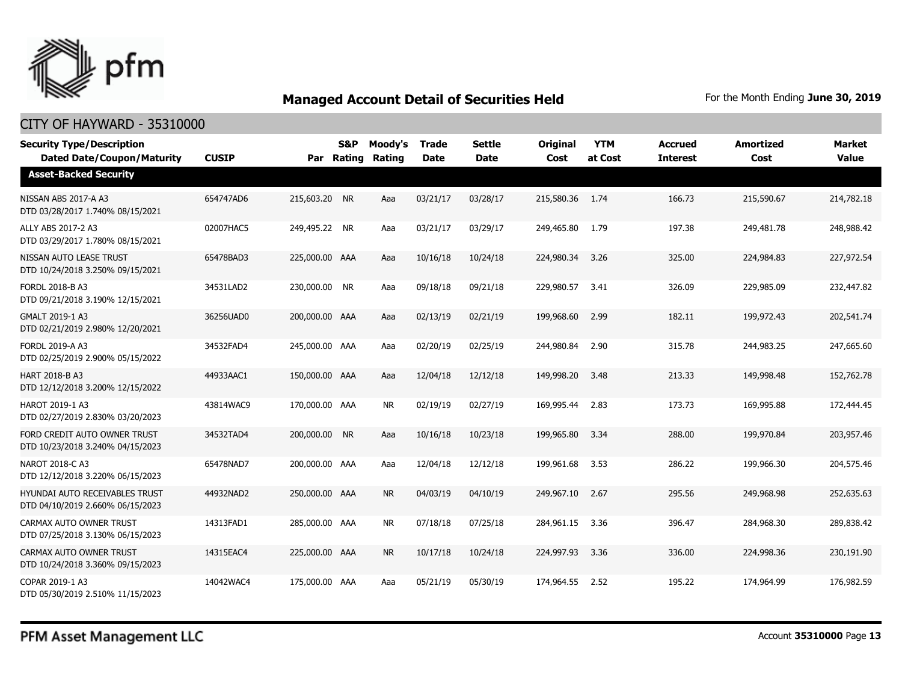

| <b>Security Type/Description</b><br><b>Dated Date/Coupon/Maturity</b>     | <b>CUSIP</b> | Par            | <b>S&amp;P</b><br>Rating | Moody's<br>Rating | <b>Trade</b><br><b>Date</b> | <b>Settle</b><br>Date | <b>Original</b><br>Cost | <b>YTM</b><br>at Cost | <b>Accrued</b><br><b>Interest</b> | Amortized<br>Cost | <b>Market</b><br><b>Value</b> |
|---------------------------------------------------------------------------|--------------|----------------|--------------------------|-------------------|-----------------------------|-----------------------|-------------------------|-----------------------|-----------------------------------|-------------------|-------------------------------|
| <b>Asset-Backed Security</b>                                              |              |                |                          |                   |                             |                       |                         |                       |                                   |                   |                               |
| NISSAN ABS 2017-A A3<br>DTD 03/28/2017 1.740% 08/15/2021                  | 654747AD6    | 215,603.20 NR  |                          | Aaa               | 03/21/17                    | 03/28/17              | 215,580.36              | 1.74                  | 166.73                            | 215,590.67        | 214,782.18                    |
| ALLY ABS 2017-2 A3<br>DTD 03/29/2017 1.780% 08/15/2021                    | 02007HAC5    | 249,495.22 NR  |                          | Aaa               | 03/21/17                    | 03/29/17              | 249,465.80              | 1.79                  | 197.38                            | 249,481.78        | 248,988.42                    |
| NISSAN AUTO LEASE TRUST<br>DTD 10/24/2018 3.250% 09/15/2021               | 65478BAD3    | 225,000.00 AAA |                          | Aaa               | 10/16/18                    | 10/24/18              | 224,980.34              | 3.26                  | 325.00                            | 224,984.83        | 227,972.54                    |
| FORDL 2018-B A3<br>DTD 09/21/2018 3.190% 12/15/2021                       | 34531LAD2    | 230,000.00 NR  |                          | Aaa               | 09/18/18                    | 09/21/18              | 229,980.57              | 3.41                  | 326.09                            | 229,985.09        | 232,447.82                    |
| GMALT 2019-1 A3<br>DTD 02/21/2019 2.980% 12/20/2021                       | 36256UAD0    | 200,000.00 AAA |                          | Aaa               | 02/13/19                    | 02/21/19              | 199,968.60              | 2.99                  | 182.11                            | 199,972.43        | 202,541.74                    |
| <b>FORDL 2019-A A3</b><br>DTD 02/25/2019 2.900% 05/15/2022                | 34532FAD4    | 245,000.00 AAA |                          | Aaa               | 02/20/19                    | 02/25/19              | 244,980.84              | 2.90                  | 315.78                            | 244,983.25        | 247,665.60                    |
| <b>HART 2018-B A3</b><br>DTD 12/12/2018 3.200% 12/15/2022                 | 44933AAC1    | 150,000.00 AAA |                          | Aaa               | 12/04/18                    | 12/12/18              | 149,998.20              | 3.48                  | 213.33                            | 149,998.48        | 152,762.78                    |
| <b>HAROT 2019-1 A3</b><br>DTD 02/27/2019 2.830% 03/20/2023                | 43814WAC9    | 170,000.00 AAA |                          | <b>NR</b>         | 02/19/19                    | 02/27/19              | 169,995.44              | 2.83                  | 173.73                            | 169,995.88        | 172,444.45                    |
| FORD CREDIT AUTO OWNER TRUST<br>DTD 10/23/2018 3.240% 04/15/2023          | 34532TAD4    | 200,000.00     | <b>NR</b>                | Aaa               | 10/16/18                    | 10/23/18              | 199,965.80              | 3.34                  | 288.00                            | 199,970.84        | 203,957.46                    |
| NAROT 2018-C A3<br>DTD 12/12/2018 3.220% 06/15/2023                       | 65478NAD7    | 200,000.00 AAA |                          | Aaa               | 12/04/18                    | 12/12/18              | 199,961.68              | 3.53                  | 286.22                            | 199,966.30        | 204,575.46                    |
| <b>HYUNDAI AUTO RECEIVABLES TRUST</b><br>DTD 04/10/2019 2.660% 06/15/2023 | 44932NAD2    | 250,000.00 AAA |                          | <b>NR</b>         | 04/03/19                    | 04/10/19              | 249,967.10              | 2.67                  | 295.56                            | 249,968.98        | 252,635.63                    |
| CARMAX AUTO OWNER TRUST<br>DTD 07/25/2018 3.130% 06/15/2023               | 14313FAD1    | 285,000.00 AAA |                          | <b>NR</b>         | 07/18/18                    | 07/25/18              | 284,961.15              | 3.36                  | 396.47                            | 284,968,30        | 289,838.42                    |
| CARMAX AUTO OWNER TRUST<br>DTD 10/24/2018 3.360% 09/15/2023               | 14315EAC4    | 225,000.00 AAA |                          | <b>NR</b>         | 10/17/18                    | 10/24/18              | 224,997.93              | 3.36                  | 336.00                            | 224,998.36        | 230,191.90                    |
| COPAR 2019-1 A3<br>DTD 05/30/2019 2.510% 11/15/2023                       | 14042WAC4    | 175,000.00 AAA |                          | Aaa               | 05/21/19                    | 05/30/19              | 174,964.55              | 2.52                  | 195.22                            | 174,964.99        | 176,982.59                    |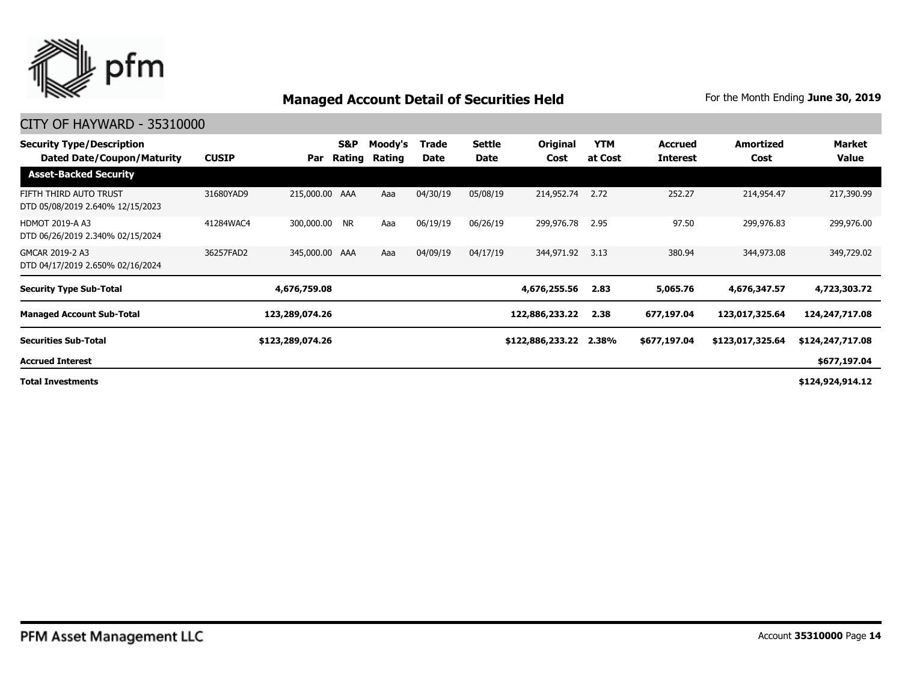

### CITY OF HAYWARD - 35310000

| <b>Security Type/Description</b><br>Dated Date/Coupon/Maturity | <b>CUSIP</b> | Par              | S&P<br>Rating | Moody's<br>Rating | Trade<br>Date | Settle<br>Date | Original<br>Cost | <b>YTM</b><br>at Cost | <b>Accrued</b><br><b>Interest</b> | Amortized<br>Cost | Market<br>Value  |
|----------------------------------------------------------------|--------------|------------------|---------------|-------------------|---------------|----------------|------------------|-----------------------|-----------------------------------|-------------------|------------------|
| <b>Asset-Backed Security</b>                                   |              |                  |               |                   |               |                |                  |                       |                                   |                   |                  |
| FIFTH THIRD AUTO TRUST<br>DTD 05/08/2019 2.640% 12/15/2023     | 31680YAD9    | 215,000.00 AAA   |               | Aaa               | 04/30/19      | 05/08/19       | 214,952.74       | 2.72                  | 252.27                            | 214,954.47        | 217,390.99       |
| <b>HDMOT 2019-A A3</b><br>DTD 06/26/2019 2.340% 02/15/2024     | 41284WAC4    | 300,000.00 NR    |               | Aaa               | 06/19/19      | 06/26/19       | 299,976.78       | 2.95                  | 97.50                             | 299,976.83        | 299,976.00       |
| GMCAR 2019-2 A3<br>DTD 04/17/2019 2.650% 02/16/2024            | 36257FAD2    | 345,000.00 AAA   |               | Aaa               | 04/09/19      | 04/17/19       | 344,971.92       | 3.13                  | 380.94                            | 344,973.08        | 349,729.02       |
| <b>Security Type Sub-Total</b>                                 |              | 4,676,759.08     |               |                   |               |                | 4,676,255.56     | 2.83                  | 5,065.76                          | 4,676,347.57      | 4,723,303.72     |
| <b>Managed Account Sub-Total</b>                               |              | 123,289,074.26   |               |                   |               |                | 122,886,233.22   | 2.38                  | 677,197.04                        | 123,017,325.64    | 124,247,717.08   |
| <b>Securities Sub-Total</b>                                    |              | \$123,289,074.26 |               |                   |               |                | \$122,886,233.22 | 2.38%                 | \$677,197.04                      | \$123,017,325.64  | \$124,247,717.08 |
| <b>Accrued Interest</b>                                        |              |                  |               |                   |               |                |                  |                       |                                   |                   | \$677,197.04     |
|                                                                |              |                  |               |                   |               |                |                  |                       |                                   |                   |                  |

**Total Investments**

**\$124,924,914.12**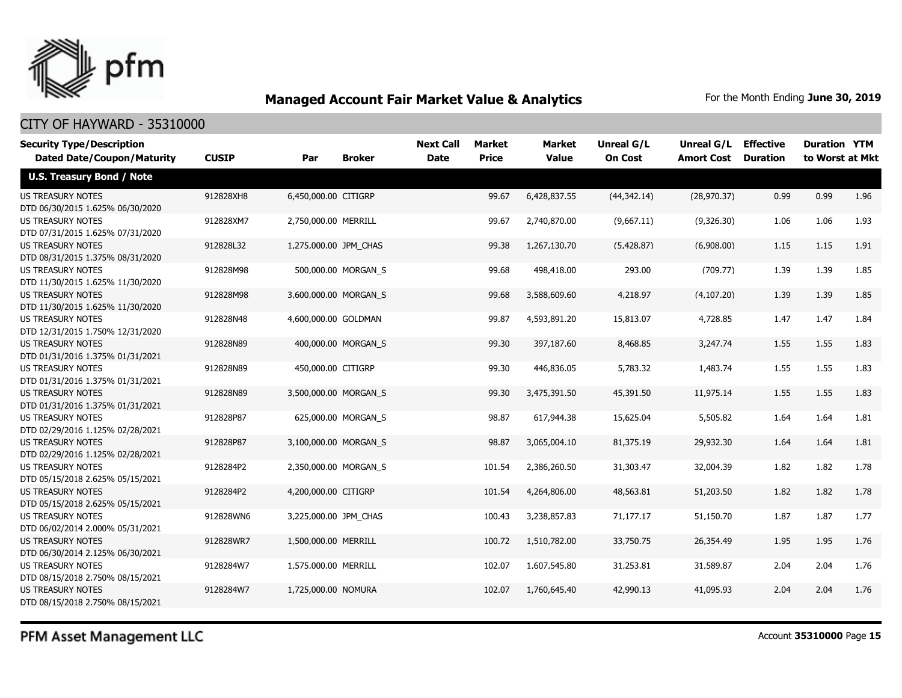

### CITY OF HAYWARD - 35310000

| <b>Security Type/Description</b>                             |              |                       |                       | <b>Next Call</b> | <b>Market</b> | Market       | <b>Unreal G/L</b> | Unreal G/L        | <b>Effective</b> | <b>Duration YTM</b> |      |
|--------------------------------------------------------------|--------------|-----------------------|-----------------------|------------------|---------------|--------------|-------------------|-------------------|------------------|---------------------|------|
| <b>Dated Date/Coupon/Maturity</b>                            | <b>CUSIP</b> | Par                   | <b>Broker</b>         | <b>Date</b>      | <b>Price</b>  | <b>Value</b> | <b>On Cost</b>    | <b>Amort Cost</b> | <b>Duration</b>  | to Worst at Mkt     |      |
| <b>U.S. Treasury Bond / Note</b>                             |              |                       |                       |                  |               |              |                   |                   |                  |                     |      |
| <b>US TREASURY NOTES</b>                                     | 912828XH8    | 6,450,000.00 CITIGRP  |                       |                  | 99.67         | 6,428,837.55 | (44, 342.14)      | (28, 970.37)      | 0.99             | 0.99                | 1.96 |
| DTD 06/30/2015 1.625% 06/30/2020                             |              |                       |                       |                  |               |              |                   |                   |                  |                     |      |
| <b>US TREASURY NOTES</b>                                     | 912828XM7    | 2,750,000.00 MERRILL  |                       |                  | 99.67         | 2,740,870.00 | (9,667.11)        | (9,326.30)        | 1.06             | 1.06                | 1.93 |
| DTD 07/31/2015 1.625% 07/31/2020                             |              |                       |                       |                  |               |              |                   |                   |                  |                     |      |
| <b>US TREASURY NOTES</b>                                     | 912828L32    | 1,275,000.00 JPM_CHAS |                       |                  | 99.38         | 1,267,130.70 | (5,428.87)        | (6,908.00)        | 1.15             | 1.15                | 1.91 |
| DTD 08/31/2015 1.375% 08/31/2020                             |              |                       |                       |                  |               |              |                   |                   |                  |                     |      |
| <b>US TREASURY NOTES</b>                                     | 912828M98    |                       | 500,000.00 MORGAN_S   |                  | 99.68         | 498,418.00   | 293.00            | (709.77)          | 1.39             | 1.39                | 1.85 |
| DTD 11/30/2015 1.625% 11/30/2020                             |              |                       |                       |                  |               |              |                   |                   |                  |                     |      |
| <b>US TREASURY NOTES</b>                                     | 912828M98    |                       | 3,600,000.00 MORGAN S |                  | 99.68         | 3,588,609.60 | 4,218.97          | (4, 107.20)       | 1.39             | 1.39                | 1.85 |
| DTD 11/30/2015 1.625% 11/30/2020                             |              |                       |                       |                  |               |              |                   |                   |                  |                     |      |
| <b>US TREASURY NOTES</b>                                     | 912828N48    | 4,600,000.00 GOLDMAN  |                       |                  | 99.87         | 4,593,891.20 | 15,813.07         | 4,728.85          | 1.47             | 1.47                | 1.84 |
| DTD 12/31/2015 1.750% 12/31/2020                             |              |                       |                       |                  |               |              |                   |                   |                  |                     |      |
| <b>US TREASURY NOTES</b>                                     | 912828N89    |                       | 400,000.00 MORGAN S   |                  | 99.30         | 397,187.60   | 8,468.85          | 3,247.74          | 1.55             | 1.55                | 1.83 |
| DTD 01/31/2016 1.375% 01/31/2021                             |              |                       |                       |                  |               |              |                   |                   |                  |                     |      |
| <b>US TREASURY NOTES</b>                                     | 912828N89    | 450,000.00 CITIGRP    |                       |                  | 99.30         | 446,836.05   | 5,783.32          | 1,483.74          | 1.55             | 1.55                | 1.83 |
| DTD 01/31/2016 1.375% 01/31/2021                             |              |                       |                       |                  |               |              |                   |                   |                  |                     |      |
| <b>US TREASURY NOTES</b>                                     | 912828N89    |                       | 3,500,000.00 MORGAN_S |                  | 99.30         | 3,475,391.50 | 45,391.50         | 11,975.14         | 1.55             | 1.55                | 1.83 |
| DTD 01/31/2016 1.375% 01/31/2021                             |              |                       |                       |                  |               |              |                   |                   |                  |                     |      |
| <b>US TREASURY NOTES</b>                                     | 912828P87    |                       | 625,000.00 MORGAN_S   |                  | 98.87         | 617,944.38   | 15,625.04         | 5,505.82          | 1.64             | 1.64                | 1.81 |
| DTD 02/29/2016 1.125% 02/28/2021                             |              |                       |                       |                  |               |              |                   |                   |                  |                     |      |
| <b>US TREASURY NOTES</b>                                     | 912828P87    |                       | 3,100,000.00 MORGAN_S |                  | 98.87         | 3,065,004.10 | 81,375.19         | 29,932.30         | 1.64             | 1.64                | 1.81 |
| DTD 02/29/2016 1.125% 02/28/2021                             |              |                       |                       |                  |               |              |                   |                   |                  |                     |      |
| <b>US TREASURY NOTES</b>                                     | 9128284P2    |                       | 2,350,000.00 MORGAN S |                  | 101.54        | 2,386,260.50 | 31,303.47         | 32,004.39         | 1.82             | 1.82                | 1.78 |
| DTD 05/15/2018 2.625% 05/15/2021                             |              |                       |                       |                  |               |              |                   |                   |                  |                     |      |
| <b>US TREASURY NOTES</b>                                     | 9128284P2    | 4,200,000.00 CITIGRP  |                       |                  | 101.54        | 4,264,806.00 | 48,563.81         | 51,203.50         | 1.82             | 1.82                | 1.78 |
| DTD 05/15/2018 2.625% 05/15/2021                             |              |                       |                       |                  |               |              |                   |                   |                  |                     |      |
| <b>US TREASURY NOTES</b>                                     | 912828WN6    | 3,225,000.00 JPM_CHAS |                       |                  | 100.43        | 3,238,857.83 | 71,177.17         | 51,150.70         | 1.87             | 1.87                | 1.77 |
| DTD 06/02/2014 2.000% 05/31/2021<br><b>US TREASURY NOTES</b> |              |                       |                       |                  |               |              |                   |                   |                  |                     |      |
|                                                              | 912828WR7    | 1,500,000.00 MERRILL  |                       |                  | 100.72        | 1,510,782.00 | 33,750.75         | 26,354.49         | 1.95             | 1.95                | 1.76 |
| DTD 06/30/2014 2.125% 06/30/2021                             |              |                       |                       |                  |               |              |                   |                   |                  |                     |      |
| <b>US TREASURY NOTES</b><br>DTD 08/15/2018 2.750% 08/15/2021 | 9128284W7    | 1,575,000.00 MERRILL  |                       |                  | 102.07        | 1,607,545.80 | 31,253.81         | 31,589.87         | 2.04             | 2.04                | 1.76 |
| <b>US TREASURY NOTES</b>                                     | 9128284W7    | 1,725,000.00 NOMURA   |                       |                  | 102.07        | 1,760,645.40 | 42,990.13         | 41,095.93         | 2.04             | 2.04                | 1.76 |
| DTD 08/15/2018 2.750% 08/15/2021                             |              |                       |                       |                  |               |              |                   |                   |                  |                     |      |
|                                                              |              |                       |                       |                  |               |              |                   |                   |                  |                     |      |

PFM Asset Management LLC

Account **35310000** Page **15**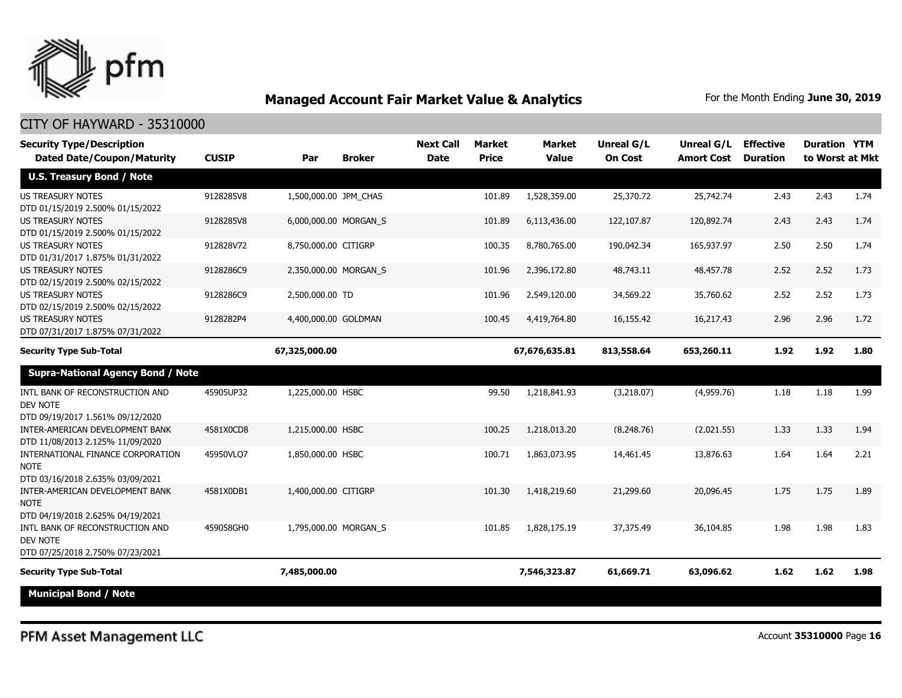

| <b>Security Type/Description</b><br><b>Dated Date/Coupon/Maturity</b>                | <b>CUSIP</b> | Par                   | <b>Broker</b> | <b>Next Call</b><br><b>Date</b> | <b>Market</b><br><b>Price</b> | <b>Market</b><br><b>Value</b> | <b>Unreal G/L</b><br><b>On Cost</b> | Unreal G/L<br><b>Amort Cost</b> | <b>Effective</b><br><b>Duration</b> | <b>Duration YTM</b><br>to Worst at Mkt |      |
|--------------------------------------------------------------------------------------|--------------|-----------------------|---------------|---------------------------------|-------------------------------|-------------------------------|-------------------------------------|---------------------------------|-------------------------------------|----------------------------------------|------|
| <b>U.S. Treasury Bond / Note</b>                                                     |              |                       |               |                                 |                               |                               |                                     |                                 |                                     |                                        |      |
| <b>US TREASURY NOTES</b><br>DTD 01/15/2019 2.500% 01/15/2022                         | 9128285V8    | 1,500,000.00 JPM CHAS |               |                                 | 101.89                        | 1,528,359.00                  | 25,370.72                           | 25,742.74                       | 2.43                                | 2.43                                   | 1.74 |
| <b>US TREASURY NOTES</b><br>DTD 01/15/2019 2.500% 01/15/2022                         | 9128285V8    | 6,000,000.00 MORGAN S |               |                                 | 101.89                        | 6,113,436.00                  | 122,107.87                          | 120,892.74                      | 2.43                                | 2.43                                   | 1.74 |
| <b>US TREASURY NOTES</b><br>DTD 01/31/2017 1.875% 01/31/2022                         | 912828V72    | 8,750,000.00 CITIGRP  |               |                                 | 100.35                        | 8,780,765,00                  | 190,042.34                          | 165,937.97                      | 2.50                                | 2.50                                   | 1.74 |
| <b>US TREASURY NOTES</b><br>DTD 02/15/2019 2.500% 02/15/2022                         | 9128286C9    | 2,350,000.00 MORGAN_S |               |                                 | 101.96                        | 2,396,172.80                  | 48,743.11                           | 48,457.78                       | 2.52                                | 2.52                                   | 1.73 |
| <b>US TREASURY NOTES</b><br>DTD 02/15/2019 2.500% 02/15/2022                         | 9128286C9    | 2,500,000.00 TD       |               |                                 | 101.96                        | 2,549,120.00                  | 34,569.22                           | 35,760.62                       | 2.52                                | 2.52                                   | 1.73 |
| <b>US TREASURY NOTES</b><br>DTD 07/31/2017 1.875% 07/31/2022                         | 9128282P4    | 4,400,000.00 GOLDMAN  |               |                                 | 100.45                        | 4,419,764.80                  | 16,155.42                           | 16,217.43                       | 2.96                                | 2.96                                   | 1.72 |
| <b>Security Type Sub-Total</b>                                                       |              | 67,325,000.00         |               |                                 |                               | 67,676,635.81                 | 813,558.64                          | 653,260.11                      | 1.92                                | 1.92                                   | 1.80 |
| <b>Supra-National Agency Bond / Note</b>                                             |              |                       |               |                                 |                               |                               |                                     |                                 |                                     |                                        |      |
| INTL BANK OF RECONSTRUCTION AND<br>DEV NOTE<br>DTD 09/19/2017 1.561% 09/12/2020      | 45905UP32    | 1,225,000.00 HSBC     |               |                                 | 99.50                         | 1,218,841.93                  | (3,218.07)                          | (4,959.76)                      | 1.18                                | 1.18                                   | 1.99 |
| INTER-AMERICAN DEVELOPMENT BANK<br>DTD 11/08/2013 2.125% 11/09/2020                  | 4581X0CD8    | 1,215,000.00 HSBC     |               |                                 | 100.25                        | 1,218,013,20                  | (8.248.76)                          | (2,021.55)                      | 1.33                                | 1.33                                   | 1.94 |
| INTERNATIONAL FINANCE CORPORATION<br><b>NOTE</b><br>DTD 03/16/2018 2.635% 03/09/2021 | 45950VLQ7    | 1,850,000.00 HSBC     |               |                                 | 100.71                        | 1,863,073.95                  | 14,461.45                           | 13,876.63                       | 1.64                                | 1.64                                   | 2.21 |
| INTER-AMERICAN DEVELOPMENT BANK<br><b>NOTE</b>                                       | 4581X0DB1    | 1,400,000.00 CITIGRP  |               |                                 | 101.30                        | 1,418,219.60                  | 21,299.60                           | 20,096.45                       | 1.75                                | 1.75                                   | 1.89 |
| DTD 04/19/2018 2.625% 04/19/2021<br>INTL BANK OF RECONSTRUCTION AND<br>DEV NOTE      | 459058GH0    | 1,795,000.00 MORGAN_S |               |                                 | 101.85                        | 1,828,175.19                  | 37,375.49                           | 36,104.85                       | 1.98                                | 1.98                                   | 1.83 |
| DTD 07/25/2018 2.750% 07/23/2021                                                     |              |                       |               |                                 |                               |                               |                                     |                                 |                                     |                                        |      |
| <b>Security Type Sub-Total</b><br><b>Municipal Bond / Note</b>                       |              | 7,485,000.00          |               |                                 |                               | 7,546,323.87                  | 61,669.71                           | 63,096.62                       | 1.62                                | 1.62                                   | 1.98 |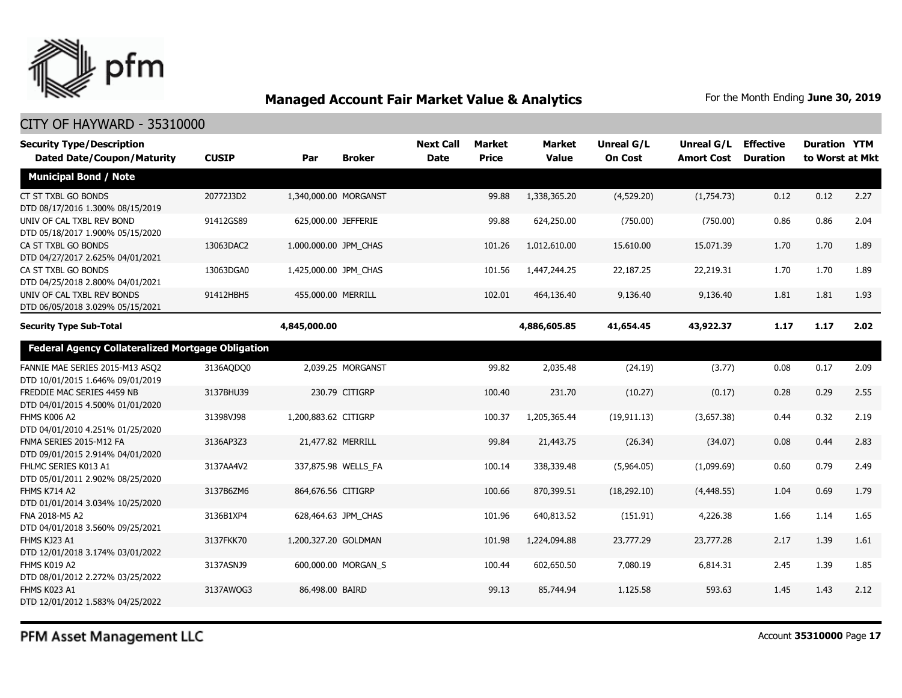

| <b>Security Type/Description</b><br><b>Dated Date/Coupon/Maturity</b> | <b>CUSIP</b> | Par                   | <b>Broker</b>       | <b>Next Call</b><br><b>Date</b> | <b>Market</b><br><b>Price</b> | Market<br><b>Value</b> | Unreal G/L<br><b>On Cost</b> | Unreal G/L<br><b>Amort Cost</b> | <b>Effective</b><br><b>Duration</b> | <b>Duration YTM</b><br>to Worst at Mkt |      |
|-----------------------------------------------------------------------|--------------|-----------------------|---------------------|---------------------------------|-------------------------------|------------------------|------------------------------|---------------------------------|-------------------------------------|----------------------------------------|------|
| <b>Municipal Bond / Note</b>                                          |              |                       |                     |                                 |                               |                        |                              |                                 |                                     |                                        |      |
| CT ST TXBL GO BONDS<br>DTD 08/17/2016 1.300% 08/15/2019               | 20772J3D2    | 1,340,000.00 MORGANST |                     |                                 | 99.88                         | 1,338,365.20           | (4,529.20)                   | (1,754.73)                      | 0.12                                | 0.12                                   | 2.27 |
| UNIV OF CAL TXBL REV BOND<br>DTD 05/18/2017 1.900% 05/15/2020         | 91412GS89    | 625,000.00 JEFFERIE   |                     |                                 | 99.88                         | 624,250.00             | (750.00)                     | (750.00)                        | 0.86                                | 0.86                                   | 2.04 |
| CA ST TXBL GO BONDS<br>DTD 04/27/2017 2.625% 04/01/2021               | 13063DAC2    | 1,000,000.00 JPM CHAS |                     |                                 | 101.26                        | 1,012,610.00           | 15,610.00                    | 15,071.39                       | 1.70                                | 1.70                                   | 1.89 |
| CA ST TXBL GO BONDS<br>DTD 04/25/2018 2.800% 04/01/2021               | 13063DGA0    | 1,425,000.00 JPM CHAS |                     |                                 | 101.56                        | 1,447,244.25           | 22,187.25                    | 22,219.31                       | 1.70                                | 1.70                                   | 1.89 |
| UNIV OF CAL TXBL REV BONDS<br>DTD 06/05/2018 3.029% 05/15/2021        | 91412HBH5    | 455,000.00 MERRILL    |                     |                                 | 102.01                        | 464,136.40             | 9,136.40                     | 9,136.40                        | 1.81                                | 1.81                                   | 1.93 |
| <b>Security Type Sub-Total</b>                                        |              | 4,845,000.00          |                     |                                 |                               | 4,886,605.85           | 41,654.45                    | 43,922.37                       | 1.17                                | 1.17                                   | 2.02 |
| <b>Federal Agency Collateralized Mortgage Obligation</b>              |              |                       |                     |                                 |                               |                        |                              |                                 |                                     |                                        |      |
| FANNIE MAE SERIES 2015-M13 ASQ2<br>DTD 10/01/2015 1.646% 09/01/2019   | 3136AQDQ0    |                       | 2,039.25 MORGANST   |                                 | 99.82                         | 2,035.48               | (24.19)                      | (3.77)                          | 0.08                                | 0.17                                   | 2.09 |
| FREDDIE MAC SERIES 4459 NB<br>DTD 04/01/2015 4.500% 01/01/2020        | 3137BHU39    |                       | 230.79 CITIGRP      |                                 | 100.40                        | 231.70                 | (10.27)                      | (0.17)                          | 0.28                                | 0.29                                   | 2.55 |
| FHMS K006 A2<br>DTD 04/01/2010 4.251% 01/25/2020                      | 31398VJ98    | 1,200,883.62 CITIGRP  |                     |                                 | 100.37                        | 1,205,365.44           | (19, 911.13)                 | (3,657.38)                      | 0.44                                | 0.32                                   | 2.19 |
| FNMA SERIES 2015-M12 FA<br>DTD 09/01/2015 2.914% 04/01/2020           | 3136AP3Z3    | 21,477.82 MERRILL     |                     |                                 | 99.84                         | 21,443.75              | (26.34)                      | (34.07)                         | 0.08                                | 0.44                                   | 2.83 |
| FHLMC SERIES K013 A1<br>DTD 05/01/2011 2.902% 08/25/2020              | 3137AA4V2    |                       | 337,875.98 WELLS FA |                                 | 100.14                        | 338,339.48             | (5,964.05)                   | (1,099.69)                      | 0.60                                | 0.79                                   | 2.49 |
| <b>FHMS K714 A2</b><br>DTD 01/01/2014 3.034% 10/25/2020               | 3137B6ZM6    | 864,676.56 CITIGRP    |                     |                                 | 100.66                        | 870,399.51             | (18, 292.10)                 | (4, 448.55)                     | 1.04                                | 0.69                                   | 1.79 |
| FNA 2018-M5 A2<br>DTD 04/01/2018 3.560% 09/25/2021                    | 3136B1XP4    |                       | 628,464.63 JPM CHAS |                                 | 101.96                        | 640,813.52             | (151.91)                     | 4,226.38                        | 1.66                                | 1.14                                   | 1.65 |
| FHMS KJ23 A1<br>DTD 12/01/2018 3.174% 03/01/2022                      | 3137FKK70    | 1,200,327.20 GOLDMAN  |                     |                                 | 101.98                        | 1,224,094.88           | 23,777,29                    | 23,777,28                       | 2.17                                | 1.39                                   | 1.61 |
| FHMS K019 A2<br>DTD 08/01/2012 2.272% 03/25/2022                      | 3137ASNJ9    |                       | 600,000.00 MORGAN S |                                 | 100.44                        | 602,650.50             | 7,080.19                     | 6,814.31                        | 2.45                                | 1.39                                   | 1.85 |
| FHMS K023 A1<br>DTD 12/01/2012 1.583% 04/25/2022                      | 3137AWOG3    | 86,498.00 BAIRD       |                     |                                 | 99.13                         | 85,744.94              | 1,125.58                     | 593.63                          | 1.45                                | 1.43                                   | 2.12 |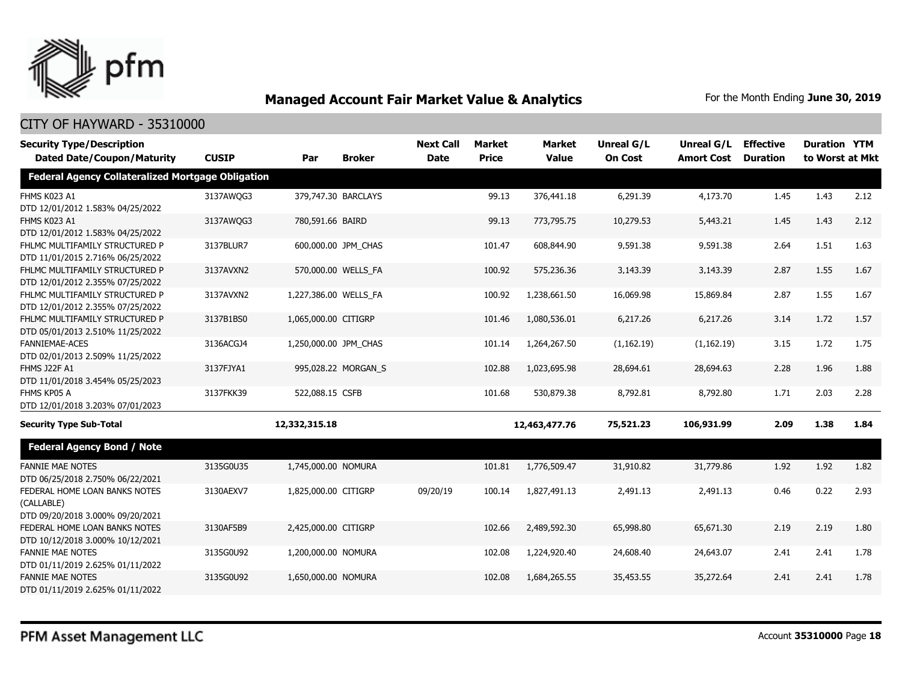

| <b>Security Type/Description</b>                  |              |                       |                     | <b>Next Call</b> | <b>Market</b> | <b>Market</b> | <b>Unreal G/L</b> | Unreal G/L        | <b>Effective</b> | <b>Duration YTM</b> |      |
|---------------------------------------------------|--------------|-----------------------|---------------------|------------------|---------------|---------------|-------------------|-------------------|------------------|---------------------|------|
| <b>Dated Date/Coupon/Maturity</b>                 | <b>CUSIP</b> | Par                   | <b>Broker</b>       | <b>Date</b>      | <b>Price</b>  | <b>Value</b>  | <b>On Cost</b>    | <b>Amort Cost</b> | <b>Duration</b>  | to Worst at Mkt     |      |
| Federal Agency Collateralized Mortgage Obligation |              |                       |                     |                  |               |               |                   |                   |                  |                     |      |
| FHMS K023 A1                                      | 3137AWQG3    |                       | 379,747.30 BARCLAYS |                  | 99.13         | 376,441.18    | 6,291.39          | 4,173.70          | 1.45             | 1.43                | 2.12 |
| DTD 12/01/2012 1.583% 04/25/2022                  |              |                       |                     |                  |               |               |                   |                   |                  |                     |      |
| FHMS K023 A1                                      | 3137AWQG3    | 780,591.66 BAIRD      |                     |                  | 99.13         | 773,795.75    | 10,279.53         | 5,443.21          | 1.45             | 1.43                | 2.12 |
| DTD 12/01/2012 1.583% 04/25/2022                  |              |                       |                     |                  |               |               |                   |                   |                  |                     |      |
| FHLMC MULTIFAMILY STRUCTURED P                    | 3137BLUR7    |                       | 600,000.00 JPM CHAS |                  | 101.47        | 608,844.90    | 9,591.38          | 9,591.38          | 2.64             | 1.51                | 1.63 |
| DTD 11/01/2015 2.716% 06/25/2022                  |              |                       |                     |                  |               |               |                   |                   |                  |                     |      |
| FHLMC MULTIFAMILY STRUCTURED P                    | 3137AVXN2    |                       | 570,000.00 WELLS_FA |                  | 100.92        | 575,236.36    | 3,143.39          | 3,143.39          | 2.87             | 1.55                | 1.67 |
| DTD 12/01/2012 2.355% 07/25/2022                  |              |                       |                     |                  |               |               |                   |                   |                  |                     |      |
| FHLMC MULTIFAMILY STRUCTURED P                    | 3137AVXN2    | 1,227,386.00 WELLS FA |                     |                  | 100.92        | 1,238,661.50  | 16,069.98         | 15,869.84         | 2.87             | 1.55                | 1.67 |
| DTD 12/01/2012 2.355% 07/25/2022                  |              |                       |                     |                  |               |               |                   |                   |                  |                     |      |
| FHLMC MULTIFAMILY STRUCTURED P                    | 3137B1BS0    | 1,065,000.00 CITIGRP  |                     |                  | 101.46        | 1,080,536.01  | 6,217.26          | 6,217.26          | 3.14             | 1.72                | 1.57 |
| DTD 05/01/2013 2.510% 11/25/2022                  |              |                       |                     |                  |               |               |                   |                   |                  |                     |      |
| FANNIEMAE-ACES                                    | 3136ACGJ4    | 1,250,000.00 JPM CHAS |                     |                  | 101.14        | 1,264,267.50  | (1, 162.19)       | (1, 162.19)       | 3.15             | 1.72                | 1.75 |
| DTD 02/01/2013 2.509% 11/25/2022                  |              |                       |                     |                  |               |               |                   |                   |                  |                     |      |
| <b>FHMS J22F A1</b>                               | 3137FJYA1    |                       | 995,028.22 MORGAN S |                  | 102.88        | 1,023,695.98  | 28,694.61         | 28,694.63         | 2.28             | 1.96                | 1.88 |
| DTD 11/01/2018 3.454% 05/25/2023                  |              |                       |                     |                  |               |               |                   |                   |                  |                     |      |
| FHMS KP05 A                                       | 3137FKK39    | 522,088.15 CSFB       |                     |                  | 101.68        | 530,879.38    | 8,792.81          | 8,792.80          | 1.71             | 2.03                | 2.28 |
| DTD 12/01/2018 3.203% 07/01/2023                  |              |                       |                     |                  |               |               |                   |                   |                  |                     |      |
| <b>Security Type Sub-Total</b>                    |              | 12,332,315.18         |                     |                  |               | 12,463,477.76 | 75,521.23         | 106,931.99        | 2.09             | 1.38                | 1.84 |
| <b>Federal Agency Bond / Note</b>                 |              |                       |                     |                  |               |               |                   |                   |                  |                     |      |
| <b>FANNIE MAE NOTES</b>                           | 3135G0U35    | 1,745,000.00 NOMURA   |                     |                  | 101.81        | 1,776,509.47  | 31,910.82         | 31,779.86         | 1.92             | 1.92                | 1.82 |
| DTD 06/25/2018 2.750% 06/22/2021                  |              |                       |                     |                  |               |               |                   |                   |                  |                     |      |
| FEDERAL HOME LOAN BANKS NOTES                     | 3130AEXV7    | 1,825,000.00 CITIGRP  |                     | 09/20/19         | 100.14        | 1,827,491.13  | 2,491.13          | 2,491.13          | 0.46             | 0.22                | 2.93 |
| (CALLABLE)                                        |              |                       |                     |                  |               |               |                   |                   |                  |                     |      |
| DTD 09/20/2018 3.000% 09/20/2021                  |              |                       |                     |                  |               |               |                   |                   |                  |                     |      |
| FEDERAL HOME LOAN BANKS NOTES                     | 3130AF5B9    | 2,425,000.00 CITIGRP  |                     |                  | 102.66        | 2,489,592.30  | 65,998.80         | 65,671.30         | 2.19             | 2.19                | 1.80 |
| DTD 10/12/2018 3.000% 10/12/2021                  |              |                       |                     |                  |               |               |                   |                   |                  |                     |      |
| <b>FANNIE MAE NOTES</b>                           | 3135G0U92    | 1,200,000.00 NOMURA   |                     |                  | 102.08        | 1,224,920.40  | 24,608.40         | 24,643.07         | 2.41             | 2.41                | 1.78 |
| DTD 01/11/2019 2.625% 01/11/2022                  |              |                       |                     |                  |               |               |                   |                   |                  |                     |      |
| <b>FANNIE MAE NOTES</b>                           | 3135G0U92    | 1,650,000.00 NOMURA   |                     |                  | 102.08        | 1,684,265.55  | 35,453.55         | 35,272.64         | 2.41             | 2.41                | 1.78 |
| DTD 01/11/2019 2.625% 01/11/2022                  |              |                       |                     |                  |               |               |                   |                   |                  |                     |      |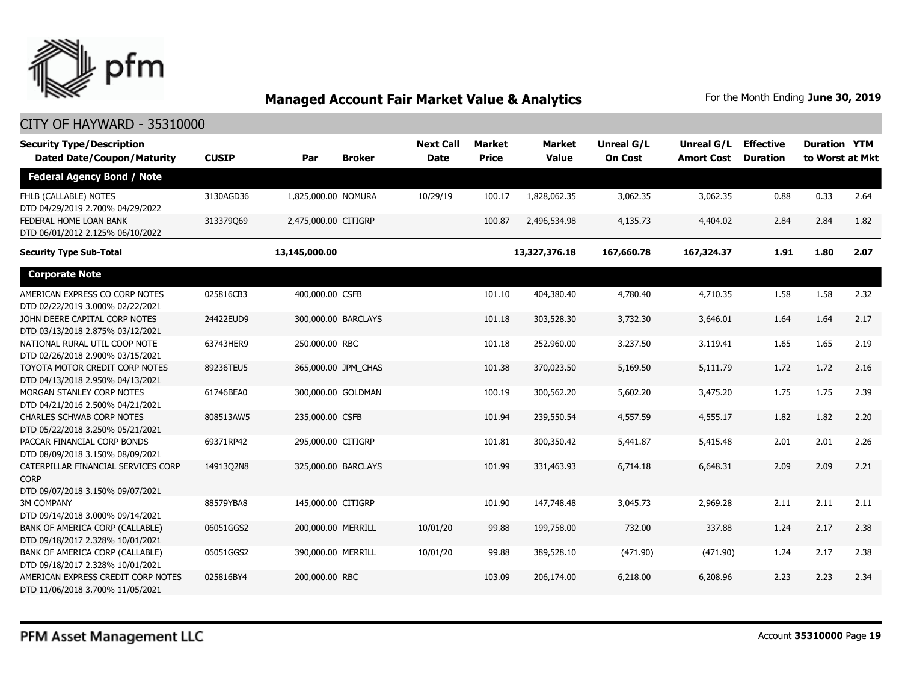

| <b>Security Type/Description</b><br><b>Dated Date/Coupon/Maturity</b>                  | <b>CUSIP</b> | Par                  | <b>Broker</b>       | <b>Next Call</b><br><b>Date</b> | <b>Market</b><br><b>Price</b> | <b>Market</b><br><b>Value</b> | <b>Unreal G/L</b><br><b>On Cost</b> | <b>Unreal G/L</b><br><b>Amort Cost</b> | <b>Effective</b><br><b>Duration</b> | <b>Duration YTM</b><br>to Worst at Mkt |      |
|----------------------------------------------------------------------------------------|--------------|----------------------|---------------------|---------------------------------|-------------------------------|-------------------------------|-------------------------------------|----------------------------------------|-------------------------------------|----------------------------------------|------|
| <b>Federal Agency Bond / Note</b>                                                      |              |                      |                     |                                 |                               |                               |                                     |                                        |                                     |                                        |      |
| FHLB (CALLABLE) NOTES<br>DTD 04/29/2019 2.700% 04/29/2022                              | 3130AGD36    | 1,825,000.00 NOMURA  |                     | 10/29/19                        | 100.17                        | 1,828,062.35                  | 3,062.35                            | 3,062.35                               | 0.88                                | 0.33                                   | 2.64 |
| FEDERAL HOME LOAN BANK<br>DTD 06/01/2012 2.125% 06/10/2022                             | 313379069    | 2,475,000.00 CITIGRP |                     |                                 | 100.87                        | 2,496,534.98                  | 4,135.73                            | 4,404.02                               | 2.84                                | 2.84                                   | 1.82 |
| <b>Security Type Sub-Total</b>                                                         |              | 13,145,000.00        |                     |                                 |                               | 13,327,376.18                 | 167,660.78                          | 167,324.37                             | 1.91                                | 1.80                                   | 2.07 |
| <b>Corporate Note</b>                                                                  |              |                      |                     |                                 |                               |                               |                                     |                                        |                                     |                                        |      |
| AMERICAN EXPRESS CO CORP NOTES<br>DTD 02/22/2019 3.000% 02/22/2021                     | 025816CB3    | 400,000.00 CSFB      |                     |                                 | 101.10                        | 404,380.40                    | 4,780.40                            | 4,710.35                               | 1.58                                | 1.58                                   | 2.32 |
| JOHN DEERE CAPITAL CORP NOTES<br>DTD 03/13/2018 2.875% 03/12/2021                      | 24422EUD9    |                      | 300,000.00 BARCLAYS |                                 | 101.18                        | 303,528.30                    | 3,732.30                            | 3,646.01                               | 1.64                                | 1.64                                   | 2.17 |
| NATIONAL RURAL UTIL COOP NOTE<br>DTD 02/26/2018 2.900% 03/15/2021                      | 63743HER9    | 250,000.00 RBC       |                     |                                 | 101.18                        | 252,960.00                    | 3,237.50                            | 3,119.41                               | 1.65                                | 1.65                                   | 2.19 |
| TOYOTA MOTOR CREDIT CORP NOTES<br>DTD 04/13/2018 2.950% 04/13/2021                     | 89236TEU5    |                      | 365,000.00 JPM CHAS |                                 | 101.38                        | 370,023.50                    | 5,169.50                            | 5,111.79                               | 1.72                                | 1.72                                   | 2.16 |
| MORGAN STANLEY CORP NOTES<br>DTD 04/21/2016 2.500% 04/21/2021                          | 61746BEA0    |                      | 300,000.00 GOLDMAN  |                                 | 100.19                        | 300,562.20                    | 5,602.20                            | 3,475.20                               | 1.75                                | 1.75                                   | 2.39 |
| <b>CHARLES SCHWAB CORP NOTES</b><br>DTD 05/22/2018 3.250% 05/21/2021                   | 808513AW5    | 235,000.00 CSFB      |                     |                                 | 101.94                        | 239,550.54                    | 4,557.59                            | 4,555.17                               | 1.82                                | 1.82                                   | 2.20 |
| PACCAR FINANCIAL CORP BONDS<br>DTD 08/09/2018 3.150% 08/09/2021                        | 69371RP42    | 295,000.00 CITIGRP   |                     |                                 | 101.81                        | 300,350.42                    | 5,441.87                            | 5,415.48                               | 2.01                                | 2.01                                   | 2.26 |
| CATERPILLAR FINANCIAL SERVICES CORP<br><b>CORP</b><br>DTD 09/07/2018 3.150% 09/07/2021 | 14913Q2N8    |                      | 325,000.00 BARCLAYS |                                 | 101.99                        | 331,463.93                    | 6,714.18                            | 6,648.31                               | 2.09                                | 2.09                                   | 2.21 |
| <b>3M COMPANY</b><br>DTD 09/14/2018 3.000% 09/14/2021                                  | 88579YBA8    | 145,000.00 CITIGRP   |                     |                                 | 101.90                        | 147,748.48                    | 3,045.73                            | 2,969.28                               | 2.11                                | 2.11                                   | 2.11 |
| BANK OF AMERICA CORP (CALLABLE)<br>DTD 09/18/2017 2.328% 10/01/2021                    | 06051GGS2    | 200,000.00 MERRILL   |                     | 10/01/20                        | 99.88                         | 199,758.00                    | 732.00                              | 337.88                                 | 1.24                                | 2.17                                   | 2.38 |
| BANK OF AMERICA CORP (CALLABLE)<br>DTD 09/18/2017 2.328% 10/01/2021                    | 06051GGS2    | 390,000.00 MERRILL   |                     | 10/01/20                        | 99.88                         | 389,528.10                    | (471.90)                            | (471.90)                               | 1.24                                | 2.17                                   | 2.38 |
| AMERICAN EXPRESS CREDIT CORP NOTES<br>DTD 11/06/2018 3.700% 11/05/2021                 | 025816BY4    | 200,000.00 RBC       |                     |                                 | 103.09                        | 206,174.00                    | 6,218.00                            | 6,208.96                               | 2.23                                | 2.23                                   | 2.34 |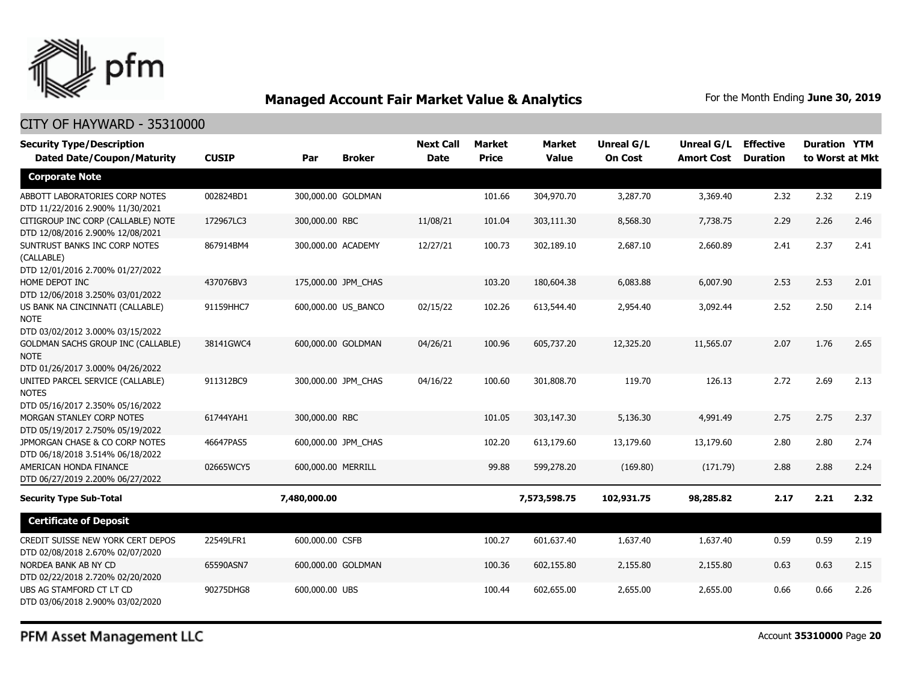

### CITY OF HAYWARD - 35310000

| <b>Security Type/Description</b>                                              |              |                    |                     | <b>Next Call</b> | Market       | Market       | Unreal G/L     | Unreal G/L        | <b>Effective</b> | <b>Duration YTM</b> |      |
|-------------------------------------------------------------------------------|--------------|--------------------|---------------------|------------------|--------------|--------------|----------------|-------------------|------------------|---------------------|------|
| <b>Dated Date/Coupon/Maturity</b>                                             | <b>CUSIP</b> | Par                | <b>Broker</b>       | <b>Date</b>      | <b>Price</b> | <b>Value</b> | <b>On Cost</b> | <b>Amort Cost</b> | <b>Duration</b>  | to Worst at Mkt     |      |
| <b>Corporate Note</b>                                                         |              |                    |                     |                  |              |              |                |                   |                  |                     |      |
| ABBOTT LABORATORIES CORP NOTES<br>DTD 11/22/2016 2.900% 11/30/2021            | 002824BD1    |                    | 300,000.00 GOLDMAN  |                  | 101.66       | 304,970.70   | 3,287.70       | 3,369.40          | 2.32             | 2.32                | 2.19 |
| CITIGROUP INC CORP (CALLABLE) NOTE<br>DTD 12/08/2016 2.900% 12/08/2021        | 172967LC3    | 300,000.00 RBC     |                     | 11/08/21         | 101.04       | 303,111.30   | 8,568.30       | 7,738.75          | 2.29             | 2.26                | 2.46 |
| SUNTRUST BANKS INC CORP NOTES<br>(CALLABLE)                                   | 867914BM4    |                    | 300,000.00 ACADEMY  | 12/27/21         | 100.73       | 302,189.10   | 2,687.10       | 2,660.89          | 2.41             | 2.37                | 2.41 |
| DTD 12/01/2016 2.700% 01/27/2022<br>HOME DEPOT INC                            | 437076BV3    |                    | 175,000.00 JPM_CHAS |                  | 103.20       | 180,604.38   | 6,083.88       | 6,007.90          | 2.53             | 2.53                | 2.01 |
| DTD 12/06/2018 3.250% 03/01/2022                                              |              |                    |                     |                  |              |              |                |                   |                  |                     |      |
| US BANK NA CINCINNATI (CALLABLE)<br><b>NOTE</b>                               | 91159HHC7    |                    | 600,000.00 US BANCO | 02/15/22         | 102.26       | 613,544.40   | 2,954.40       | 3,092.44          | 2.52             | 2.50                | 2.14 |
| DTD 03/02/2012 3.000% 03/15/2022<br><b>GOLDMAN SACHS GROUP INC (CALLABLE)</b> | 38141GWC4    |                    | 600,000.00 GOLDMAN  | 04/26/21         | 100.96       | 605,737.20   | 12,325.20      | 11,565.07         | 2.07             | 1.76                | 2.65 |
| <b>NOTE</b><br>DTD 01/26/2017 3.000% 04/26/2022                               |              |                    |                     |                  |              |              |                |                   |                  |                     |      |
| UNITED PARCEL SERVICE (CALLABLE)<br><b>NOTES</b>                              | 911312BC9    |                    | 300,000.00 JPM CHAS | 04/16/22         | 100.60       | 301,808.70   | 119.70         | 126.13            | 2.72             | 2.69                | 2.13 |
| DTD 05/16/2017 2.350% 05/16/2022                                              | 61744YAH1    |                    |                     |                  |              |              |                | 4,991.49          |                  | 2.75                |      |
| MORGAN STANLEY CORP NOTES<br>DTD 05/19/2017 2.750% 05/19/2022                 |              | 300,000.00 RBC     |                     |                  | 101.05       | 303,147.30   | 5,136.30       |                   | 2.75             |                     | 2.37 |
| JPMORGAN CHASE & CO CORP NOTES<br>DTD 06/18/2018 3.514% 06/18/2022            | 46647PAS5    |                    | 600,000.00 JPM CHAS |                  | 102.20       | 613,179.60   | 13,179.60      | 13,179.60         | 2.80             | 2.80                | 2.74 |
| AMERICAN HONDA FINANCE<br>DTD 06/27/2019 2.200% 06/27/2022                    | 02665WCY5    | 600,000.00 MERRILL |                     |                  | 99.88        | 599,278.20   | (169.80)       | (171.79)          | 2.88             | 2.88                | 2.24 |
| <b>Security Type Sub-Total</b>                                                |              | 7,480,000.00       |                     |                  |              | 7,573,598.75 | 102,931.75     | 98,285.82         | 2.17             | 2.21                | 2.32 |
| <b>Certificate of Deposit</b>                                                 |              |                    |                     |                  |              |              |                |                   |                  |                     |      |
| CREDIT SUISSE NEW YORK CERT DEPOS<br>DTD 02/08/2018 2.670% 02/07/2020         | 22549LFR1    | 600,000.00 CSFB    |                     |                  | 100.27       | 601,637.40   | 1,637.40       | 1,637.40          | 0.59             | 0.59                | 2.19 |
| NORDEA BANK AB NY CD<br>DTD 02/22/2018 2.720% 02/20/2020                      | 65590ASN7    |                    | 600,000.00 GOLDMAN  |                  | 100.36       | 602,155.80   | 2,155.80       | 2,155.80          | 0.63             | 0.63                | 2.15 |
| UBS AG STAMFORD CT LT CD<br>DTD 03/06/2018 2.900% 03/02/2020                  | 90275DHG8    | 600,000.00 UBS     |                     |                  | 100.44       | 602,655.00   | 2,655.00       | 2,655.00          | 0.66             | 0.66                | 2.26 |

PFM Asset Management LLC

Account **35310000** Page **20**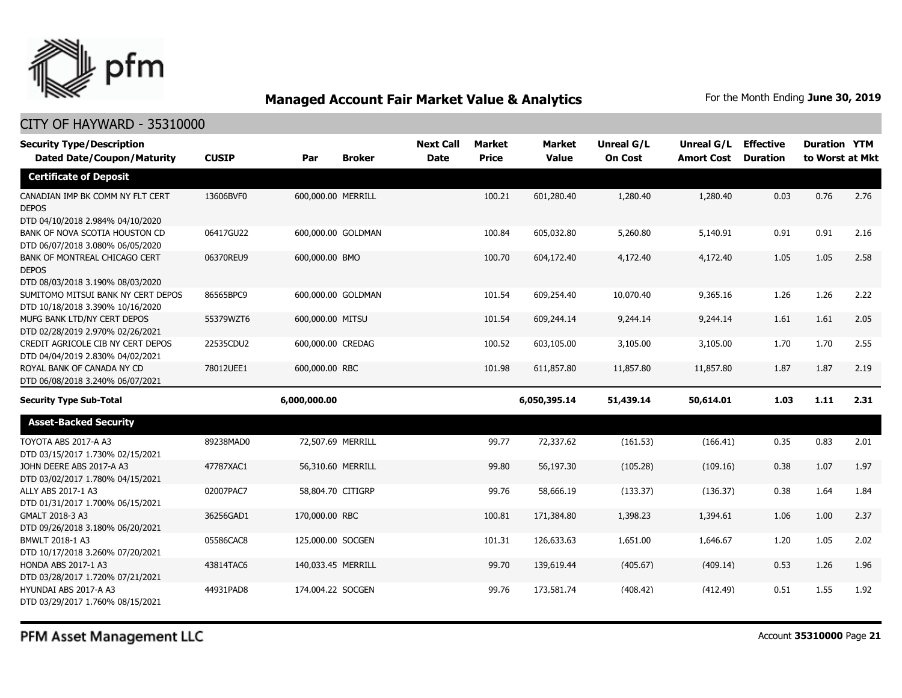

| <b>Security Type/Description</b>                                                     |              |                    |                    | <b>Next Call</b> | <b>Market</b> | <b>Market</b> | Unreal G/L     | Unreal G/L        | <b>Effective</b> | <b>Duration YTM</b> |      |
|--------------------------------------------------------------------------------------|--------------|--------------------|--------------------|------------------|---------------|---------------|----------------|-------------------|------------------|---------------------|------|
| <b>Dated Date/Coupon/Maturity</b>                                                    | <b>CUSIP</b> | Par                | <b>Broker</b>      | <b>Date</b>      | <b>Price</b>  | <b>Value</b>  | <b>On Cost</b> | <b>Amort Cost</b> | <b>Duration</b>  | to Worst at Mkt     |      |
| <b>Certificate of Deposit</b>                                                        |              |                    |                    |                  |               |               |                |                   |                  |                     |      |
| CANADIAN IMP BK COMM NY FLT CERT<br><b>DEPOS</b><br>DTD 04/10/2018 2.984% 04/10/2020 | 13606BVF0    | 600,000.00 MERRILL |                    |                  | 100.21        | 601,280.40    | 1,280.40       | 1,280.40          | 0.03             | 0.76                | 2.76 |
| BANK OF NOVA SCOTIA HOUSTON CD<br>DTD 06/07/2018 3.080% 06/05/2020                   | 06417GU22    |                    | 600,000.00 GOLDMAN |                  | 100.84        | 605,032.80    | 5,260.80       | 5,140.91          | 0.91             | 0.91                | 2.16 |
| BANK OF MONTREAL CHICAGO CERT<br><b>DEPOS</b><br>DTD 08/03/2018 3.190% 08/03/2020    | 06370REU9    | 600,000.00 BMO     |                    |                  | 100.70        | 604,172.40    | 4,172.40       | 4,172.40          | 1.05             | 1.05                | 2.58 |
| SUMITOMO MITSUI BANK NY CERT DEPOS<br>DTD 10/18/2018 3.390% 10/16/2020               | 86565BPC9    |                    | 600,000.00 GOLDMAN |                  | 101.54        | 609,254.40    | 10,070.40      | 9,365.16          | 1.26             | 1.26                | 2.22 |
| MUFG BANK LTD/NY CERT DEPOS<br>DTD 02/28/2019 2.970% 02/26/2021                      | 55379WZT6    | 600,000.00 MITSU   |                    |                  | 101.54        | 609,244.14    | 9,244.14       | 9,244.14          | 1.61             | 1.61                | 2.05 |
| CREDIT AGRICOLE CIB NY CERT DEPOS<br>DTD 04/04/2019 2.830% 04/02/2021                | 22535CDU2    | 600,000.00 CREDAG  |                    |                  | 100.52        | 603,105.00    | 3,105.00       | 3,105.00          | 1.70             | 1.70                | 2.55 |
| ROYAL BANK OF CANADA NY CD<br>DTD 06/08/2018 3.240% 06/07/2021                       | 78012UEE1    | 600,000,00 RBC     |                    |                  | 101.98        | 611,857.80    | 11,857.80      | 11,857.80         | 1.87             | 1.87                | 2.19 |
| <b>Security Type Sub-Total</b>                                                       |              | 6,000,000.00       |                    |                  |               | 6,050,395.14  | 51,439.14      | 50,614.01         | 1.03             | 1.11                | 2.31 |
| <b>Asset-Backed Security</b>                                                         |              |                    |                    |                  |               |               |                |                   |                  |                     |      |
| TOYOTA ABS 2017-A A3<br>DTD 03/15/2017 1.730% 02/15/2021                             | 89238MAD0    | 72,507.69 MERRILL  |                    |                  | 99.77         | 72,337.62     | (161.53)       | (166.41)          | 0.35             | 0.83                | 2.01 |
| JOHN DEERE ABS 2017-A A3<br>DTD 03/02/2017 1.780% 04/15/2021                         | 47787XAC1    | 56,310.60 MERRILL  |                    |                  | 99.80         | 56,197.30     | (105.28)       | (109.16)          | 0.38             | 1.07                | 1.97 |
| ALLY ABS 2017-1 A3<br>DTD 01/31/2017 1.700% 06/15/2021                               | 02007PAC7    | 58,804.70 CITIGRP  |                    |                  | 99.76         | 58,666.19     | (133.37)       | (136.37)          | 0.38             | 1.64                | 1.84 |
| GMALT 2018-3 A3<br>DTD 09/26/2018 3.180% 06/20/2021                                  | 36256GAD1    | 170,000.00 RBC     |                    |                  | 100.81        | 171,384.80    | 1,398.23       | 1,394.61          | 1.06             | 1.00                | 2.37 |
| BMWLT 2018-1 A3<br>DTD 10/17/2018 3.260% 07/20/2021                                  | 05586CAC8    | 125,000.00 SOCGEN  |                    |                  | 101.31        | 126,633.63    | 1,651.00       | 1,646.67          | 1.20             | 1.05                | 2.02 |
| HONDA ABS 2017-1 A3<br>DTD 03/28/2017 1.720% 07/21/2021                              | 43814TAC6    | 140,033.45 MERRILL |                    |                  | 99.70         | 139,619.44    | (405.67)       | (409.14)          | 0.53             | 1.26                | 1.96 |
| HYUNDAI ABS 2017-A A3<br>DTD 03/29/2017 1.760% 08/15/2021                            | 44931PAD8    | 174,004.22 SOCGEN  |                    |                  | 99.76         | 173,581.74    | (408.42)       | (412.49)          | 0.51             | 1.55                | 1.92 |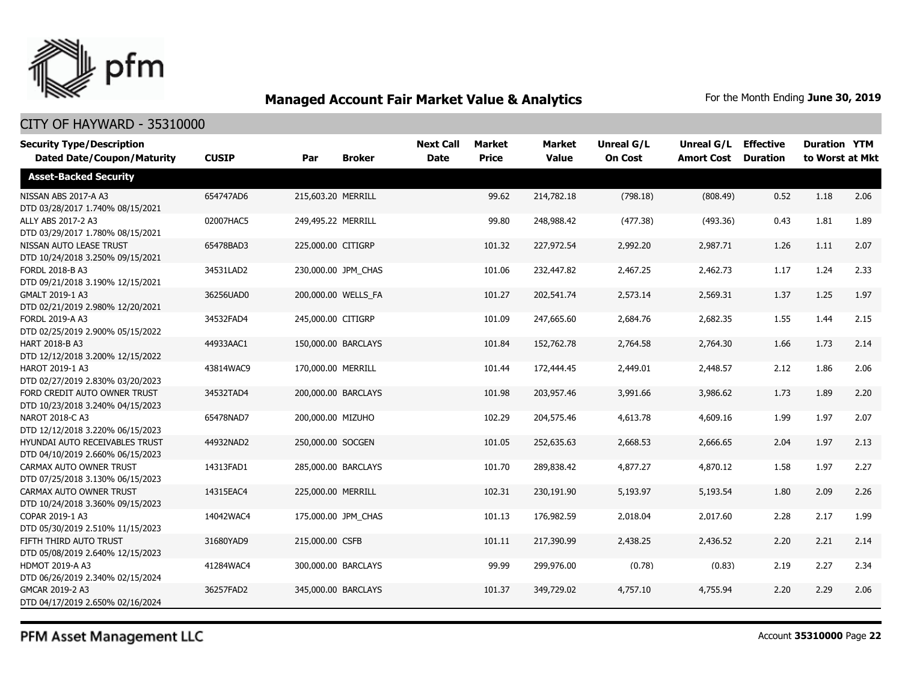

### CITY OF HAYWARD - 35310000

| <b>Security Type/Description</b>                                   |              |                     |                     | <b>Next Call</b> | Market       | <b>Market</b> | <b>Unreal G/L</b> | Unreal G/L        | <b>Effective</b> | <b>Duration YTM</b> |      |
|--------------------------------------------------------------------|--------------|---------------------|---------------------|------------------|--------------|---------------|-------------------|-------------------|------------------|---------------------|------|
| <b>Dated Date/Coupon/Maturity</b>                                  | <b>CUSIP</b> | Par                 | <b>Broker</b>       | <b>Date</b>      | <b>Price</b> | <b>Value</b>  | <b>On Cost</b>    | <b>Amort Cost</b> | <b>Duration</b>  | to Worst at Mkt     |      |
| <b>Asset-Backed Security</b>                                       |              |                     |                     |                  |              |               |                   |                   |                  |                     |      |
| NISSAN ABS 2017-A A3<br>DTD 03/28/2017 1.740% 08/15/2021           | 654747AD6    | 215,603.20 MERRILL  |                     |                  | 99.62        | 214,782.18    | (798.18)          | (808.49)          | 0.52             | 1.18                | 2.06 |
| ALLY ABS 2017-2 A3<br>DTD 03/29/2017 1.780% 08/15/2021             | 02007HAC5    | 249,495.22 MERRILL  |                     |                  | 99.80        | 248,988.42    | (477.38)          | (493.36)          | 0.43             | 1.81                | 1.89 |
| NISSAN AUTO LEASE TRUST<br>DTD 10/24/2018 3.250% 09/15/2021        | 65478BAD3    | 225,000.00 CITIGRP  |                     |                  | 101.32       | 227,972.54    | 2,992.20          | 2,987.71          | 1.26             | 1.11                | 2.07 |
| FORDL 2018-B A3<br>DTD 09/21/2018 3.190% 12/15/2021                | 34531LAD2    |                     | 230,000.00 JPM CHAS |                  | 101.06       | 232,447.82    | 2,467.25          | 2,462.73          | 1.17             | 1.24                | 2.33 |
| GMALT 2019-1 A3<br>DTD 02/21/2019 2.980% 12/20/2021                | 36256UAD0    |                     | 200,000.00 WELLS FA |                  | 101.27       | 202,541.74    | 2,573.14          | 2,569.31          | 1.37             | 1.25                | 1.97 |
| FORDL 2019-A A3<br>DTD 02/25/2019 2.900% 05/15/2022                | 34532FAD4    | 245,000.00 CITIGRP  |                     |                  | 101.09       | 247,665.60    | 2,684.76          | 2,682.35          | 1.55             | 1.44                | 2.15 |
| HART 2018-B A3<br>DTD 12/12/2018 3.200% 12/15/2022                 | 44933AAC1    | 150,000.00 BARCLAYS |                     |                  | 101.84       | 152,762.78    | 2,764.58          | 2,764.30          | 1.66             | 1.73                | 2.14 |
| HAROT 2019-1 A3<br>DTD 02/27/2019 2.830% 03/20/2023                | 43814WAC9    | 170,000.00 MERRILL  |                     |                  | 101.44       | 172,444.45    | 2,449.01          | 2,448.57          | 2.12             | 1.86                | 2.06 |
| FORD CREDIT AUTO OWNER TRUST<br>DTD 10/23/2018 3.240% 04/15/2023   | 34532TAD4    | 200,000.00 BARCLAYS |                     |                  | 101.98       | 203,957.46    | 3,991.66          | 3,986.62          | 1.73             | 1.89                | 2.20 |
| NAROT 2018-C A3<br>DTD 12/12/2018 3.220% 06/15/2023                | 65478NAD7    | 200,000.00 MIZUHO   |                     |                  | 102.29       | 204,575.46    | 4,613.78          | 4,609.16          | 1.99             | 1.97                | 2.07 |
| HYUNDAI AUTO RECEIVABLES TRUST<br>DTD 04/10/2019 2.660% 06/15/2023 | 44932NAD2    | 250,000.00 SOCGEN   |                     |                  | 101.05       | 252,635.63    | 2,668.53          | 2,666.65          | 2.04             | 1.97                | 2.13 |
| CARMAX AUTO OWNER TRUST<br>DTD 07/25/2018 3.130% 06/15/2023        | 14313FAD1    |                     | 285,000.00 BARCLAYS |                  | 101.70       | 289,838.42    | 4,877.27          | 4,870.12          | 1.58             | 1.97                | 2.27 |
| CARMAX AUTO OWNER TRUST<br>DTD 10/24/2018 3.360% 09/15/2023        | 14315EAC4    | 225,000.00 MERRILL  |                     |                  | 102.31       | 230,191.90    | 5,193.97          | 5,193.54          | 1.80             | 2.09                | 2.26 |
| COPAR 2019-1 A3<br>DTD 05/30/2019 2.510% 11/15/2023                | 14042WAC4    |                     | 175,000.00 JPM CHAS |                  | 101.13       | 176,982.59    | 2,018.04          | 2,017.60          | 2.28             | 2.17                | 1.99 |
| FIFTH THIRD AUTO TRUST<br>DTD 05/08/2019 2.640% 12/15/2023         | 31680YAD9    | 215,000.00 CSFB     |                     |                  | 101.11       | 217,390.99    | 2,438.25          | 2,436.52          | 2.20             | 2.21                | 2.14 |
| <b>HDMOT 2019-A A3</b><br>DTD 06/26/2019 2.340% 02/15/2024         | 41284WAC4    |                     | 300,000.00 BARCLAYS |                  | 99.99        | 299,976.00    | (0.78)            | (0.83)            | 2.19             | 2.27                | 2.34 |
| GMCAR 2019-2 A3<br>DTD 04/17/2019 2.650% 02/16/2024                | 36257FAD2    |                     | 345,000.00 BARCLAYS |                  | 101.37       | 349,729.02    | 4,757.10          | 4,755.94          | 2.20             | 2.29                | 2.06 |

PFM Asset Management LLC

Account **35310000** Page **22**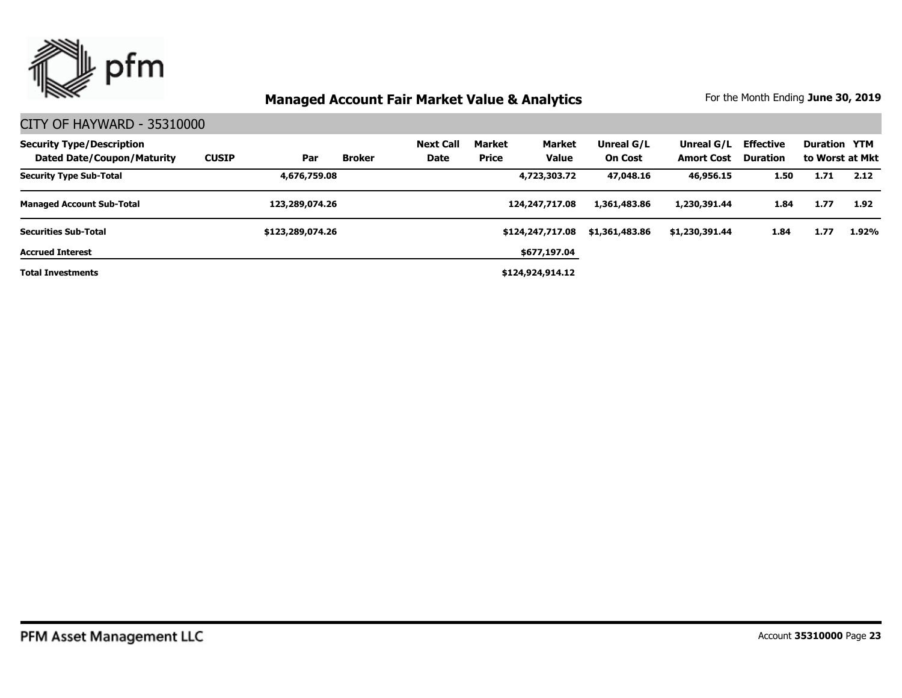

| <b>Security Type/Description</b><br><b>Dated Date/Coupon/Maturity</b> | <b>CUSIP</b> | Par              | Broker | <b>Next Call</b><br>Date | Market<br><b>Price</b> | Market<br><b>Value</b> | Unreal G/L<br><b>On Cost</b> | Unreal G/L<br><b>Amort Cost</b> | <b>Effective</b><br><b>Duration</b> | <b>Duration YTM</b> | to Worst at Mkt |
|-----------------------------------------------------------------------|--------------|------------------|--------|--------------------------|------------------------|------------------------|------------------------------|---------------------------------|-------------------------------------|---------------------|-----------------|
| <b>Security Type Sub-Total</b>                                        |              | 4,676,759.08     |        |                          |                        | 4,723,303.72           | 47,048.16                    | 46,956.15                       | 1.50                                | 1.71                | 2.12            |
| <b>Managed Account Sub-Total</b>                                      |              | 123,289,074.26   |        |                          |                        | 124,247,717.08         | 1,361,483.86                 | 1,230,391.44                    | 1.84                                | 1.77                | 1.92            |
| <b>Securities Sub-Total</b>                                           |              | \$123,289,074.26 |        |                          |                        | \$124,247,717.08       | \$1,361,483.86               | \$1,230,391.44                  | 1.84                                | 1.77                | 1.92%           |
| <b>Accrued Interest</b>                                               |              |                  |        |                          |                        | \$677,197.04           |                              |                                 |                                     |                     |                 |
| <b>Total Investments</b>                                              |              |                  |        |                          |                        | \$124,924,914.12       |                              |                                 |                                     |                     |                 |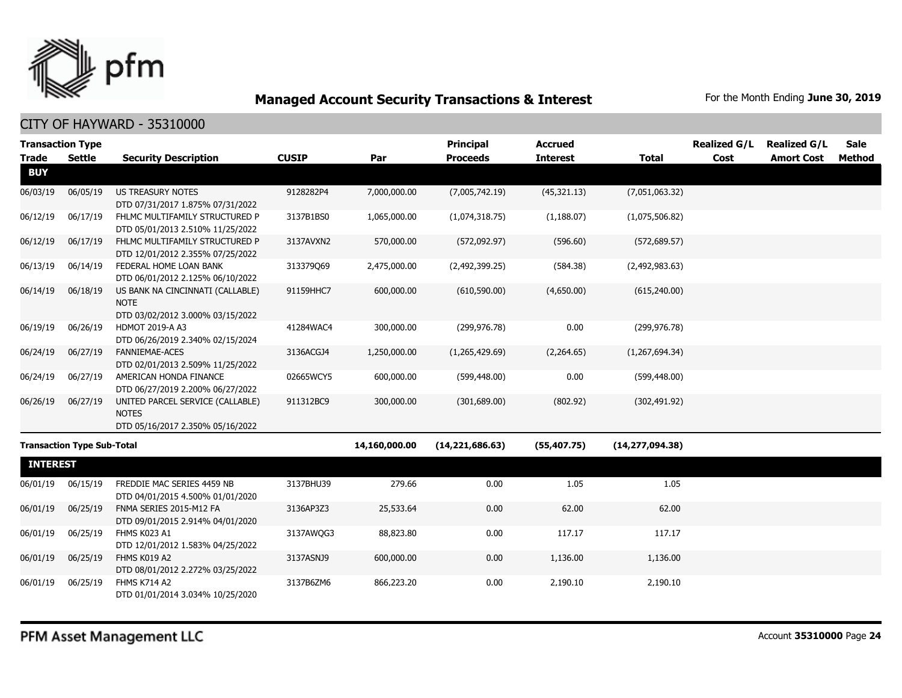

|                 | <b>Transaction Type</b>           |                                                                                     |              |               | <b>Principal</b>  | <b>Accrued</b>  |                   | <b>Realized G/L</b> | <b>Realized G/L</b> | <b>Sale</b>   |
|-----------------|-----------------------------------|-------------------------------------------------------------------------------------|--------------|---------------|-------------------|-----------------|-------------------|---------------------|---------------------|---------------|
| <b>Trade</b>    | <b>Settle</b>                     | <b>Security Description</b>                                                         | <b>CUSIP</b> | Par           | <b>Proceeds</b>   | <b>Interest</b> | <b>Total</b>      | Cost                | <b>Amort Cost</b>   | <b>Method</b> |
| <b>BUY</b>      |                                   |                                                                                     |              |               |                   |                 |                   |                     |                     |               |
| 06/03/19        | 06/05/19                          | <b>US TREASURY NOTES</b>                                                            | 9128282P4    | 7,000,000.00  | (7,005,742.19)    | (45, 321.13)    | (7,051,063.32)    |                     |                     |               |
|                 |                                   | DTD 07/31/2017 1.875% 07/31/2022                                                    |              |               |                   |                 |                   |                     |                     |               |
| 06/12/19        | 06/17/19                          | FHLMC MULTIFAMILY STRUCTURED P<br>DTD 05/01/2013 2.510% 11/25/2022                  | 3137B1BS0    | 1,065,000.00  | (1,074,318.75)    | (1, 188.07)     | (1,075,506.82)    |                     |                     |               |
| 06/12/19        | 06/17/19                          | FHLMC MULTIFAMILY STRUCTURED P<br>DTD 12/01/2012 2.355% 07/25/2022                  | 3137AVXN2    | 570,000.00    | (572,092.97)      | (596.60)        | (572, 689.57)     |                     |                     |               |
| 06/13/19        | 06/14/19                          | FEDERAL HOME LOAN BANK<br>DTD 06/01/2012 2.125% 06/10/2022                          | 313379Q69    | 2,475,000.00  | (2,492,399.25)    | (584.38)        | (2,492,983.63)    |                     |                     |               |
| 06/14/19        | 06/18/19                          | US BANK NA CINCINNATI (CALLABLE)<br><b>NOTE</b><br>DTD 03/02/2012 3.000% 03/15/2022 | 91159HHC7    | 600,000.00    | (610, 590.00)     | (4,650.00)      | (615, 240.00)     |                     |                     |               |
| 06/19/19        | 06/26/19                          | HDMOT 2019-A A3<br>DTD 06/26/2019 2.340% 02/15/2024                                 | 41284WAC4    | 300,000.00    | (299, 976.78)     | 0.00            | (299, 976.78)     |                     |                     |               |
| 06/24/19        | 06/27/19                          | <b>FANNIEMAE-ACES</b><br>DTD 02/01/2013 2.509% 11/25/2022                           | 3136ACGJ4    | 1,250,000.00  | (1,265,429.69)    | (2,264.65)      | (1,267,694.34)    |                     |                     |               |
| 06/24/19        | 06/27/19                          | AMERICAN HONDA FINANCE<br>DTD 06/27/2019 2.200% 06/27/2022                          | 02665WCY5    | 600,000.00    | (599, 448.00)     | 0.00            | (599, 448.00)     |                     |                     |               |
| 06/26/19        | 06/27/19                          | UNITED PARCEL SERVICE (CALLABLE)<br><b>NOTES</b>                                    | 911312BC9    | 300,000.00    | (301, 689.00)     | (802.92)        | (302, 491.92)     |                     |                     |               |
|                 |                                   | DTD 05/16/2017 2.350% 05/16/2022                                                    |              |               |                   |                 |                   |                     |                     |               |
|                 | <b>Transaction Type Sub-Total</b> |                                                                                     |              | 14,160,000.00 | (14, 221, 686.63) | (55, 407.75)    | (14, 277, 094.38) |                     |                     |               |
| <b>INTEREST</b> |                                   |                                                                                     |              |               |                   |                 |                   |                     |                     |               |
| 06/01/19        | 06/15/19                          | FREDDIE MAC SERIES 4459 NB<br>DTD 04/01/2015 4.500% 01/01/2020                      | 3137BHU39    | 279.66        | 0.00              | 1.05            | 1.05              |                     |                     |               |
| 06/01/19        | 06/25/19                          | FNMA SERIES 2015-M12 FA<br>DTD 09/01/2015 2.914% 04/01/2020                         | 3136AP3Z3    | 25,533.64     | 0.00              | 62.00           | 62.00             |                     |                     |               |
| 06/01/19        | 06/25/19                          | FHMS K023 A1<br>DTD 12/01/2012 1.583% 04/25/2022                                    | 3137AWQG3    | 88,823.80     | 0.00              | 117.17          | 117.17            |                     |                     |               |
| 06/01/19        | 06/25/19                          | FHMS K019 A2<br>DTD 08/01/2012 2.272% 03/25/2022                                    | 3137ASNJ9    | 600,000.00    | 0.00              | 1,136.00        | 1,136.00          |                     |                     |               |
| 06/01/19        | 06/25/19                          | <b>FHMS K714 A2</b><br>DTD 01/01/2014 3.034% 10/25/2020                             | 3137B6ZM6    | 866,223.20    | 0.00              | 2,190.10        | 2,190.10          |                     |                     |               |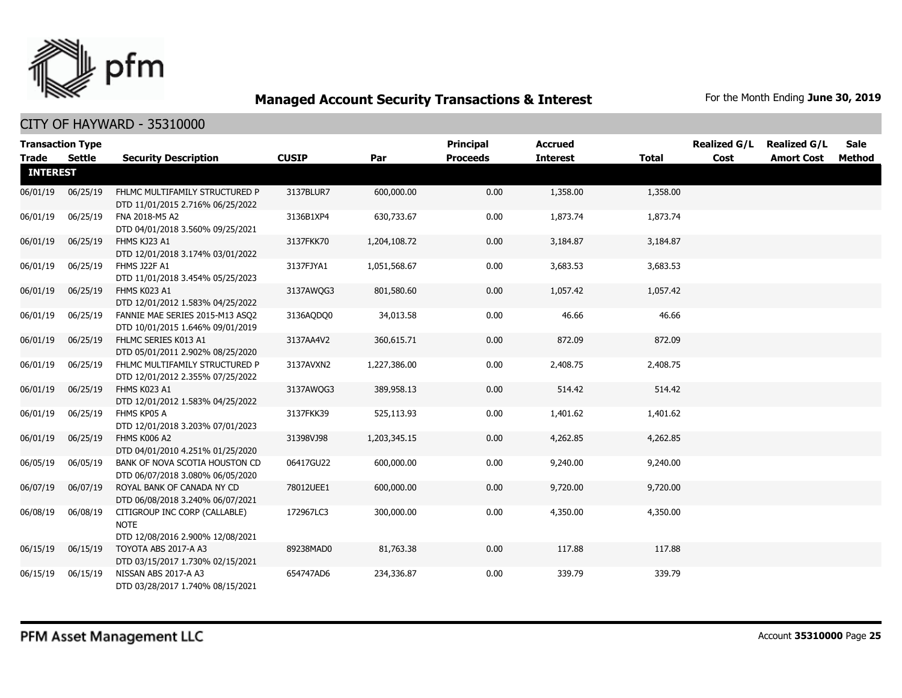

|                                 | <b>Transaction Type</b> |                                                                                  |              |              | <b>Principal</b> | <b>Accrued</b>  |              | <b>Realized G/L</b> | <b>Realized G/L</b> | <b>Sale</b> |
|---------------------------------|-------------------------|----------------------------------------------------------------------------------|--------------|--------------|------------------|-----------------|--------------|---------------------|---------------------|-------------|
| <b>Trade</b><br><b>INTEREST</b> | Settle                  | <b>Security Description</b>                                                      | <b>CUSIP</b> | Par          | <b>Proceeds</b>  | <b>Interest</b> | <b>Total</b> | Cost                | <b>Amort Cost</b>   | Method      |
|                                 |                         |                                                                                  |              |              |                  |                 |              |                     |                     |             |
| 06/01/19                        | 06/25/19                | FHLMC MULTIFAMILY STRUCTURED P<br>DTD 11/01/2015 2.716% 06/25/2022               | 3137BLUR7    | 600,000.00   | 0.00             | 1,358.00        | 1,358.00     |                     |                     |             |
| 06/01/19                        | 06/25/19                | FNA 2018-M5 A2<br>DTD 04/01/2018 3.560% 09/25/2021                               | 3136B1XP4    | 630,733.67   | 0.00             | 1,873.74        | 1,873.74     |                     |                     |             |
| 06/01/19                        | 06/25/19                | FHMS KJ23 A1<br>DTD 12/01/2018 3.174% 03/01/2022                                 | 3137FKK70    | 1,204,108.72 | 0.00             | 3,184.87        | 3,184.87     |                     |                     |             |
| 06/01/19                        | 06/25/19                | FHMS J22F A1<br>DTD 11/01/2018 3.454% 05/25/2023                                 | 3137FJYA1    | 1,051,568.67 | 0.00             | 3,683.53        | 3,683.53     |                     |                     |             |
| 06/01/19                        | 06/25/19                | FHMS K023 A1<br>DTD 12/01/2012 1.583% 04/25/2022                                 | 3137AWOG3    | 801,580.60   | 0.00             | 1,057.42        | 1,057.42     |                     |                     |             |
| 06/01/19                        | 06/25/19                | FANNIE MAE SERIES 2015-M13 ASQ2<br>DTD 10/01/2015 1.646% 09/01/2019              | 3136AQDQ0    | 34,013.58    | 0.00             | 46.66           | 46.66        |                     |                     |             |
| 06/01/19                        | 06/25/19                | FHLMC SERIES K013 A1<br>DTD 05/01/2011 2.902% 08/25/2020                         | 3137AA4V2    | 360,615.71   | 0.00             | 872.09          | 872.09       |                     |                     |             |
| 06/01/19                        | 06/25/19                | FHLMC MULTIFAMILY STRUCTURED P<br>DTD 12/01/2012 2.355% 07/25/2022               | 3137AVXN2    | 1,227,386.00 | 0.00             | 2,408.75        | 2,408.75     |                     |                     |             |
| 06/01/19                        | 06/25/19                | FHMS K023 A1<br>DTD 12/01/2012 1.583% 04/25/2022                                 | 3137AWQG3    | 389,958.13   | 0.00             | 514.42          | 514.42       |                     |                     |             |
| 06/01/19                        | 06/25/19                | FHMS KP05 A<br>DTD 12/01/2018 3.203% 07/01/2023                                  | 3137FKK39    | 525,113.93   | 0.00             | 1,401.62        | 1,401.62     |                     |                     |             |
| 06/01/19                        | 06/25/19                | FHMS K006 A2<br>DTD 04/01/2010 4.251% 01/25/2020                                 | 31398VJ98    | 1,203,345.15 | 0.00             | 4,262.85        | 4,262.85     |                     |                     |             |
| 06/05/19                        | 06/05/19                | BANK OF NOVA SCOTIA HOUSTON CD<br>DTD 06/07/2018 3.080% 06/05/2020               | 06417GU22    | 600,000.00   | 0.00             | 9,240.00        | 9,240.00     |                     |                     |             |
| 06/07/19                        | 06/07/19                | ROYAL BANK OF CANADA NY CD<br>DTD 06/08/2018 3.240% 06/07/2021                   | 78012UEE1    | 600,000.00   | 0.00             | 9,720.00        | 9,720.00     |                     |                     |             |
| 06/08/19                        | 06/08/19                | CITIGROUP INC CORP (CALLABLE)<br><b>NOTE</b><br>DTD 12/08/2016 2.900% 12/08/2021 | 172967LC3    | 300,000.00   | 0.00             | 4,350.00        | 4,350.00     |                     |                     |             |
| 06/15/19                        | 06/15/19                | TOYOTA ABS 2017-A A3<br>DTD 03/15/2017 1.730% 02/15/2021                         | 89238MAD0    | 81,763.38    | 0.00             | 117.88          | 117.88       |                     |                     |             |
| 06/15/19                        | 06/15/19                | NISSAN ABS 2017-A A3<br>DTD 03/28/2017 1.740% 08/15/2021                         | 654747AD6    | 234,336.87   | 0.00             | 339.79          | 339.79       |                     |                     |             |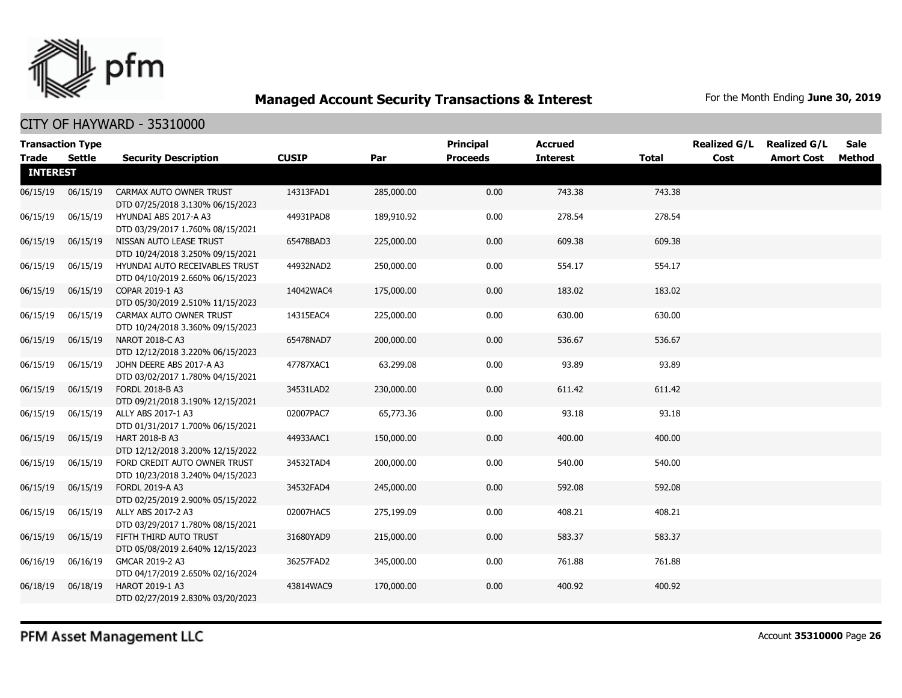

### CITY OF HAYWARD - 35310000

| <b>Transaction Type</b> |               |                                                                    |              |            | <b>Principal</b> | <b>Accrued</b>  |              | <b>Realized G/L</b> | <b>Realized G/L</b> | Sale   |
|-------------------------|---------------|--------------------------------------------------------------------|--------------|------------|------------------|-----------------|--------------|---------------------|---------------------|--------|
| <b>Trade</b>            | <b>Settle</b> | <b>Security Description</b>                                        | <b>CUSIP</b> | Par        | <b>Proceeds</b>  | <b>Interest</b> | <b>Total</b> | Cost                | <b>Amort Cost</b>   | Method |
| <b>INTEREST</b>         |               |                                                                    |              |            |                  |                 |              |                     |                     |        |
| 06/15/19                | 06/15/19      | CARMAX AUTO OWNER TRUST<br>DTD 07/25/2018 3.130% 06/15/2023        | 14313FAD1    | 285,000.00 | 0.00             | 743.38          | 743.38       |                     |                     |        |
| 06/15/19                | 06/15/19      | HYUNDAI ABS 2017-A A3<br>DTD 03/29/2017 1.760% 08/15/2021          | 44931PAD8    | 189,910.92 | 0.00             | 278.54          | 278.54       |                     |                     |        |
| 06/15/19                | 06/15/19      | NISSAN AUTO LEASE TRUST<br>DTD 10/24/2018 3.250% 09/15/2021        | 65478BAD3    | 225,000.00 | 0.00             | 609.38          | 609.38       |                     |                     |        |
| 06/15/19                | 06/15/19      | HYUNDAI AUTO RECEIVABLES TRUST<br>DTD 04/10/2019 2.660% 06/15/2023 | 44932NAD2    | 250,000.00 | 0.00             | 554.17          | 554.17       |                     |                     |        |
| 06/15/19                | 06/15/19      | COPAR 2019-1 A3<br>DTD 05/30/2019 2.510% 11/15/2023                | 14042WAC4    | 175,000.00 | 0.00             | 183.02          | 183.02       |                     |                     |        |
| 06/15/19                | 06/15/19      | CARMAX AUTO OWNER TRUST<br>DTD 10/24/2018 3.360% 09/15/2023        | 14315EAC4    | 225,000.00 | 0.00             | 630.00          | 630.00       |                     |                     |        |
| 06/15/19                | 06/15/19      | NAROT 2018-C A3<br>DTD 12/12/2018 3.220% 06/15/2023                | 65478NAD7    | 200,000.00 | 0.00             | 536.67          | 536.67       |                     |                     |        |
| 06/15/19                | 06/15/19      | JOHN DEERE ABS 2017-A A3<br>DTD 03/02/2017 1.780% 04/15/2021       | 47787XAC1    | 63,299.08  | 0.00             | 93.89           | 93.89        |                     |                     |        |
| 06/15/19                | 06/15/19      | <b>FORDL 2018-B A3</b><br>DTD 09/21/2018 3.190% 12/15/2021         | 34531LAD2    | 230,000.00 | 0.00             | 611.42          | 611.42       |                     |                     |        |
| 06/15/19                | 06/15/19      | ALLY ABS 2017-1 A3<br>DTD 01/31/2017 1.700% 06/15/2021             | 02007PAC7    | 65,773.36  | 0.00             | 93.18           | 93.18        |                     |                     |        |
| 06/15/19                | 06/15/19      | <b>HART 2018-B A3</b><br>DTD 12/12/2018 3.200% 12/15/2022          | 44933AAC1    | 150,000.00 | 0.00             | 400.00          | 400.00       |                     |                     |        |
| 06/15/19                | 06/15/19      | FORD CREDIT AUTO OWNER TRUST<br>DTD 10/23/2018 3.240% 04/15/2023   | 34532TAD4    | 200,000.00 | 0.00             | 540.00          | 540.00       |                     |                     |        |
| 06/15/19                | 06/15/19      | FORDL 2019-A A3<br>DTD 02/25/2019 2.900% 05/15/2022                | 34532FAD4    | 245,000.00 | 0.00             | 592.08          | 592.08       |                     |                     |        |
| 06/15/19                | 06/15/19      | ALLY ABS 2017-2 A3<br>DTD 03/29/2017 1.780% 08/15/2021             | 02007HAC5    | 275,199.09 | 0.00             | 408.21          | 408.21       |                     |                     |        |
| 06/15/19                | 06/15/19      | FIFTH THIRD AUTO TRUST<br>DTD 05/08/2019 2.640% 12/15/2023         | 31680YAD9    | 215,000.00 | 0.00             | 583.37          | 583.37       |                     |                     |        |
| 06/16/19                | 06/16/19      | GMCAR 2019-2 A3<br>DTD 04/17/2019 2.650% 02/16/2024                | 36257FAD2    | 345,000.00 | 0.00             | 761.88          | 761.88       |                     |                     |        |
| 06/18/19                | 06/18/19      | <b>HAROT 2019-1 A3</b><br>DTD 02/27/2019 2.830% 03/20/2023         | 43814WAC9    | 170,000.00 | 0.00             | 400.92          | 400.92       |                     |                     |        |

PFM Asset Management LLC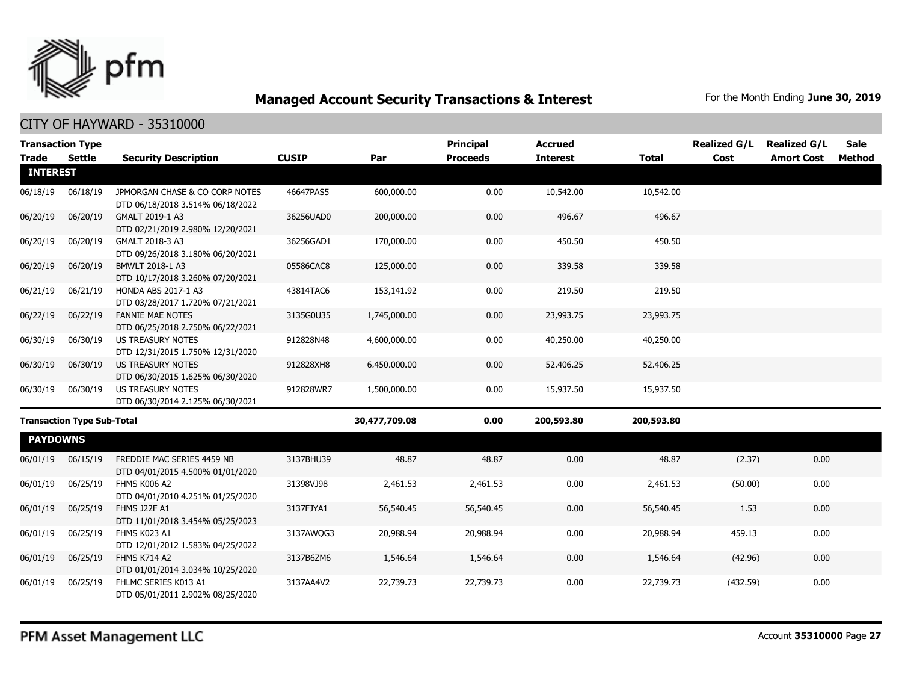

|                 | <b>Transaction Type</b>           |                                                                    |              |               | <b>Principal</b> | <b>Accrued</b>  |              | <b>Realized G/L</b> | <b>Realized G/L</b> | <b>Sale</b>   |
|-----------------|-----------------------------------|--------------------------------------------------------------------|--------------|---------------|------------------|-----------------|--------------|---------------------|---------------------|---------------|
| <b>Trade</b>    | <b>Settle</b>                     | <b>Security Description</b>                                        | <b>CUSIP</b> | Par           | <b>Proceeds</b>  | <b>Interest</b> | <b>Total</b> | Cost                | <b>Amort Cost</b>   | <b>Method</b> |
| <b>INTEREST</b> |                                   |                                                                    |              |               |                  |                 |              |                     |                     |               |
| 06/18/19        | 06/18/19                          | JPMORGAN CHASE & CO CORP NOTES<br>DTD 06/18/2018 3.514% 06/18/2022 | 46647PAS5    | 600,000.00    | 0.00             | 10,542.00       | 10,542.00    |                     |                     |               |
| 06/20/19        | 06/20/19                          | GMALT 2019-1 A3<br>DTD 02/21/2019 2.980% 12/20/2021                | 36256UAD0    | 200,000.00    | 0.00             | 496.67          | 496.67       |                     |                     |               |
| 06/20/19        | 06/20/19                          | GMALT 2018-3 A3<br>DTD 09/26/2018 3.180% 06/20/2021                | 36256GAD1    | 170,000.00    | 0.00             | 450.50          | 450.50       |                     |                     |               |
| 06/20/19        | 06/20/19                          | BMWLT 2018-1 A3<br>DTD 10/17/2018 3.260% 07/20/2021                | 05586CAC8    | 125,000.00    | 0.00             | 339.58          | 339.58       |                     |                     |               |
| 06/21/19        | 06/21/19                          | HONDA ABS 2017-1 A3<br>DTD 03/28/2017 1.720% 07/21/2021            | 43814TAC6    | 153,141.92    | 0.00             | 219.50          | 219.50       |                     |                     |               |
| 06/22/19        | 06/22/19                          | <b>FANNIE MAE NOTES</b><br>DTD 06/25/2018 2.750% 06/22/2021        | 3135G0U35    | 1,745,000.00  | 0.00             | 23,993.75       | 23,993.75    |                     |                     |               |
| 06/30/19        | 06/30/19                          | US TREASURY NOTES<br>DTD 12/31/2015 1.750% 12/31/2020              | 912828N48    | 4,600,000.00  | 0.00             | 40,250.00       | 40,250.00    |                     |                     |               |
| 06/30/19        | 06/30/19                          | <b>US TREASURY NOTES</b><br>DTD 06/30/2015 1.625% 06/30/2020       | 912828XH8    | 6,450,000.00  | 0.00             | 52,406.25       | 52,406.25    |                     |                     |               |
| 06/30/19        | 06/30/19                          | US TREASURY NOTES<br>DTD 06/30/2014 2.125% 06/30/2021              | 912828WR7    | 1,500,000.00  | 0.00             | 15,937.50       | 15,937.50    |                     |                     |               |
|                 | <b>Transaction Type Sub-Total</b> |                                                                    |              | 30,477,709.08 | 0.00             | 200,593.80      | 200,593.80   |                     |                     |               |
| <b>PAYDOWNS</b> |                                   |                                                                    |              |               |                  |                 |              |                     |                     |               |
| 06/01/19        | 06/15/19                          | FREDDIE MAC SERIES 4459 NB<br>DTD 04/01/2015 4.500% 01/01/2020     | 3137BHU39    | 48.87         | 48.87            | 0.00            | 48.87        | (2.37)              | 0.00                |               |
| 06/01/19        | 06/25/19                          | FHMS K006 A2<br>DTD 04/01/2010 4.251% 01/25/2020                   | 31398VJ98    | 2,461.53      | 2,461.53         | 0.00            | 2,461.53     | (50.00)             | 0.00                |               |
| 06/01/19        | 06/25/19                          | FHMS J22F A1<br>DTD 11/01/2018 3.454% 05/25/2023                   | 3137FJYA1    | 56,540.45     | 56,540.45        | 0.00            | 56,540.45    | 1.53                | 0.00                |               |
| 06/01/19        | 06/25/19                          | FHMS K023 A1<br>DTD 12/01/2012 1.583% 04/25/2022                   | 3137AWQG3    | 20,988.94     | 20,988.94        | 0.00            | 20,988.94    | 459.13              | 0.00                |               |
| 06/01/19        | 06/25/19                          | FHMS K714 A2<br>DTD 01/01/2014 3.034% 10/25/2020                   | 3137B6ZM6    | 1,546.64      | 1,546.64         | 0.00            | 1,546.64     | (42.96)             | 0.00                |               |
| 06/01/19        | 06/25/19                          | FHLMC SERIES K013 A1<br>DTD 05/01/2011 2.902% 08/25/2020           | 3137AA4V2    | 22,739.73     | 22,739.73        | 0.00            | 22,739.73    | (432.59)            | 0.00                |               |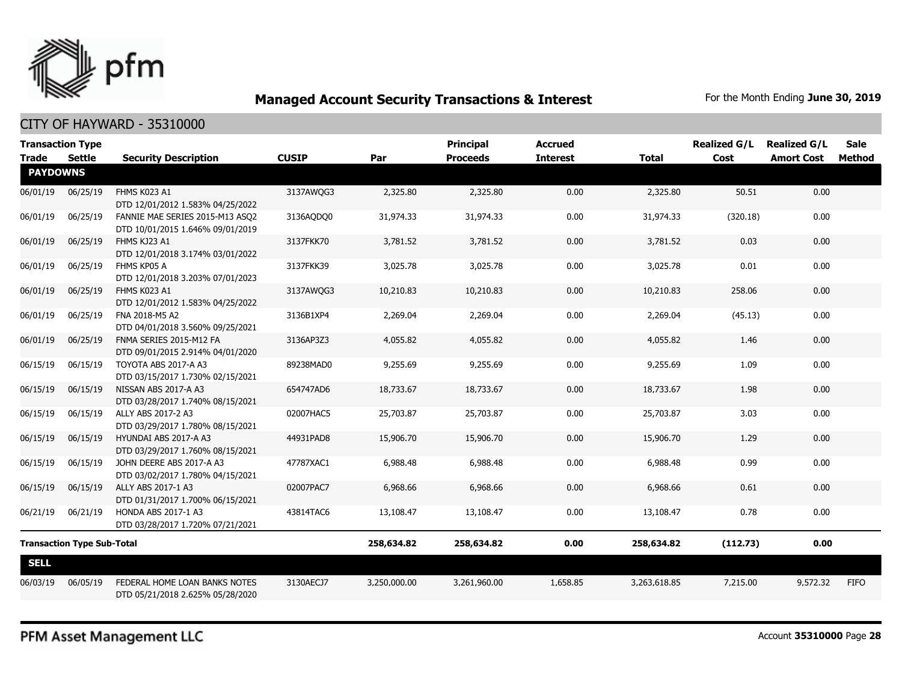

### CITY OF HAYWARD - 35310000

| <b>Transaction Type</b>         |                                   |                                                                     | <b>CUSIP</b> |              | <b>Principal</b> | <b>Accrued</b><br><b>Interest</b> |              | <b>Realized G/L</b> | <b>Realized G/L</b> | <b>Sale</b> |
|---------------------------------|-----------------------------------|---------------------------------------------------------------------|--------------|--------------|------------------|-----------------------------------|--------------|---------------------|---------------------|-------------|
| <b>Trade</b><br><b>PAYDOWNS</b> | Settle                            | <b>Security Description</b>                                         |              | Par          | <b>Proceeds</b>  |                                   | <b>Total</b> | Cost                | <b>Amort Cost</b>   | Method      |
| 06/01/19                        | 06/25/19                          | FHMS K023 A1<br>DTD 12/01/2012 1.583% 04/25/2022                    | 3137AWQG3    | 2,325.80     | 2,325.80         | 0.00                              | 2,325.80     | 50.51               | 0.00                |             |
| 06/01/19                        | 06/25/19                          | FANNIE MAE SERIES 2015-M13 ASQ2<br>DTD 10/01/2015 1.646% 09/01/2019 | 3136AQDQ0    | 31,974.33    | 31,974.33        | 0.00                              | 31,974.33    | (320.18)            | 0.00                |             |
| 06/01/19                        | 06/25/19                          | FHMS KJ23 A1<br>DTD 12/01/2018 3.174% 03/01/2022                    | 3137FKK70    | 3,781.52     | 3,781.52         | 0.00                              | 3,781.52     | 0.03                | 0.00                |             |
| 06/01/19                        | 06/25/19                          | FHMS KP05 A<br>DTD 12/01/2018 3.203% 07/01/2023                     | 3137FKK39    | 3,025.78     | 3,025.78         | 0.00                              | 3,025.78     | 0.01                | 0.00                |             |
| 06/01/19                        | 06/25/19                          | FHMS K023 A1<br>DTD 12/01/2012 1.583% 04/25/2022                    | 3137AWQG3    | 10,210.83    | 10,210.83        | 0.00                              | 10,210.83    | 258.06              | 0.00                |             |
| 06/01/19                        | 06/25/19                          | FNA 2018-M5 A2<br>DTD 04/01/2018 3.560% 09/25/2021                  | 3136B1XP4    | 2,269.04     | 2,269.04         | 0.00                              | 2,269.04     | (45.13)             | 0.00                |             |
| 06/01/19                        | 06/25/19                          | FNMA SERIES 2015-M12 FA<br>DTD 09/01/2015 2.914% 04/01/2020         | 3136AP3Z3    | 4,055.82     | 4,055.82         | 0.00                              | 4,055.82     | 1.46                | 0.00                |             |
| 06/15/19                        | 06/15/19                          | TOYOTA ABS 2017-A A3<br>DTD 03/15/2017 1.730% 02/15/2021            | 89238MAD0    | 9,255.69     | 9,255.69         | 0.00                              | 9,255.69     | 1.09                | 0.00                |             |
| 06/15/19                        | 06/15/19                          | NISSAN ABS 2017-A A3<br>DTD 03/28/2017 1.740% 08/15/2021            | 654747AD6    | 18,733.67    | 18,733.67        | 0.00                              | 18,733.67    | 1.98                | 0.00                |             |
| 06/15/19                        | 06/15/19                          | ALLY ABS 2017-2 A3<br>DTD 03/29/2017 1.780% 08/15/2021              | 02007HAC5    | 25,703.87    | 25,703.87        | 0.00                              | 25,703.87    | 3.03                | 0.00                |             |
| 06/15/19                        | 06/15/19                          | HYUNDAI ABS 2017-A A3<br>DTD 03/29/2017 1.760% 08/15/2021           | 44931PAD8    | 15,906.70    | 15,906.70        | 0.00                              | 15,906.70    | 1.29                | 0.00                |             |
| 06/15/19                        | 06/15/19                          | JOHN DEERE ABS 2017-A A3<br>DTD 03/02/2017 1.780% 04/15/2021        | 47787XAC1    | 6,988.48     | 6,988.48         | 0.00                              | 6,988.48     | 0.99                | 0.00                |             |
| 06/15/19                        | 06/15/19                          | ALLY ABS 2017-1 A3<br>DTD 01/31/2017 1.700% 06/15/2021              | 02007PAC7    | 6,968.66     | 6,968.66         | 0.00                              | 6,968.66     | 0.61                | 0.00                |             |
| 06/21/19                        | 06/21/19                          | HONDA ABS 2017-1 A3<br>DTD 03/28/2017 1.720% 07/21/2021             | 43814TAC6    | 13,108.47    | 13,108.47        | 0.00                              | 13,108.47    | 0.78                | 0.00                |             |
|                                 | <b>Transaction Type Sub-Total</b> |                                                                     |              | 258,634.82   | 258,634.82       | 0.00                              | 258,634.82   | (112.73)            | 0.00                |             |
| <b>SELL</b>                     |                                   |                                                                     |              |              |                  |                                   |              |                     |                     |             |
| 06/03/19                        | 06/05/19                          | FEDERAL HOME LOAN BANKS NOTES<br>DTD 05/21/2018 2.625% 05/28/2020   | 3130AECJ7    | 3,250,000.00 | 3,261,960.00     | 1,658.85                          | 3,263,618.85 | 7,215.00            | 9,572.32            | <b>FIFO</b> |

PFM Asset Management LLC